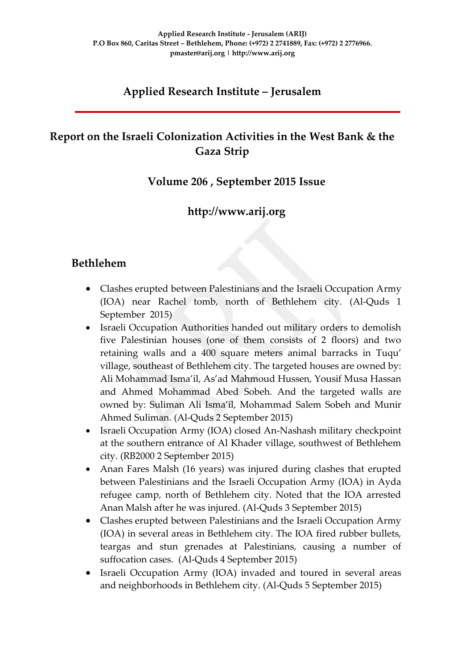## **Applied Research Institute – Jerusalem**

## **Report on the Israeli Colonization Activities in the West Bank & the Gaza Strip**

### **Volume 206 , September 2015 Issue**

## **http://www.arij.org**

### **Bethlehem**

- Clashes erupted between Palestinians and the Israeli Occupation Army (IOA) near Rachel tomb, north of Bethlehem city. (Al-Quds 1 September 2015)
- Israeli Occupation Authorities handed out military orders to demolish five Palestinian houses (one of them consists of 2 floors) and two retaining walls and a 400 square meters animal barracks in Tuqu' village, southeast of Bethlehem city. The targeted houses are owned by: Ali Mohammad Isma'il, As'ad Mahmoud Hussen, Yousif Musa Hassan and Ahmed Mohammad Abed Sobeh. And the targeted walls are owned by: Suliman Ali Isma'il, Mohammad Salem Sobeh and Munir Ahmed Suliman. (Al-Quds 2 September 2015)
- Israeli Occupation Army (IOA) closed An-Nashash military checkpoint at the southern entrance of Al Khader village, southwest of Bethlehem city. (RB2000 2 September 2015)
- Anan Fares Malsh (16 years) was injured during clashes that erupted between Palestinians and the Israeli Occupation Army (IOA) in Ayda refugee camp, north of Bethlehem city. Noted that the IOA arrested Anan Malsh after he was injured. (Al-Quds 3 September 2015)
- Clashes erupted between Palestinians and the Israeli Occupation Army (IOA) in several areas in Bethlehem city. The IOA fired rubber bullets, teargas and stun grenades at Palestinians, causing a number of suffocation cases. (Al-Quds 4 September 2015)
- Israeli Occupation Army (IOA) invaded and toured in several areas and neighborhoods in Bethlehem city. (Al-Quds 5 September 2015)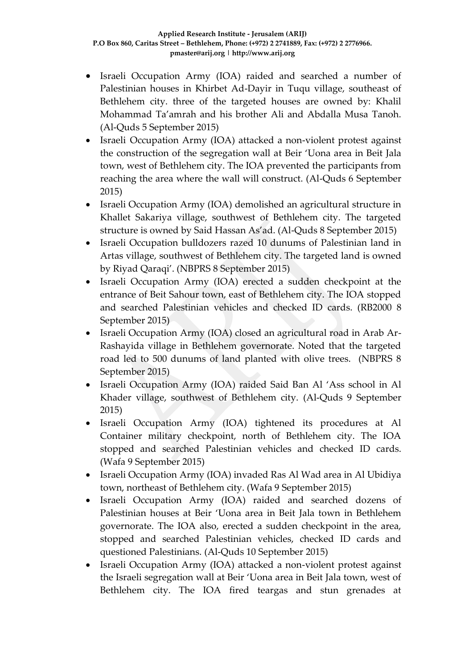- Israeli Occupation Army (IOA) raided and searched a number of Palestinian houses in Khirbet Ad-Dayir in Tuqu village, southeast of Bethlehem city. three of the targeted houses are owned by: Khalil Mohammad Ta'amrah and his brother Ali and Abdalla Musa Tanoh. (Al-Quds 5 September 2015)
- Israeli Occupation Army (IOA) attacked a non-violent protest against the construction of the segregation wall at Beir 'Uona area in Beit Jala town, west of Bethlehem city. The IOA prevented the participants from reaching the area where the wall will construct. (Al-Quds 6 September 2015)
- Israeli Occupation Army (IOA) demolished an agricultural structure in Khallet Sakariya village, southwest of Bethlehem city. The targeted structure is owned by Said Hassan As'ad. (Al-Quds 8 September 2015)
- Israeli Occupation bulldozers razed 10 dunums of Palestinian land in Artas village, southwest of Bethlehem city. The targeted land is owned by Riyad Qaraqi'. (NBPRS 8 September 2015)
- Israeli Occupation Army (IOA) erected a sudden checkpoint at the entrance of Beit Sahour town, east of Bethlehem city. The IOA stopped and searched Palestinian vehicles and checked ID cards. (RB2000 8 September 2015)
- Israeli Occupation Army (IOA) closed an agricultural road in Arab Ar-Rashayida village in Bethlehem governorate. Noted that the targeted road led to 500 dunums of land planted with olive trees. (NBPRS 8 September 2015)
- Israeli Occupation Army (IOA) raided Said Ban Al 'Ass school in Al Khader village, southwest of Bethlehem city. (Al-Quds 9 September 2015)
- Israeli Occupation Army (IOA) tightened its procedures at Al Container military checkpoint, north of Bethlehem city. The IOA stopped and searched Palestinian vehicles and checked ID cards. (Wafa 9 September 2015)
- Israeli Occupation Army (IOA) invaded Ras Al Wad area in Al Ubidiya town, northeast of Bethlehem city. (Wafa 9 September 2015)
- Israeli Occupation Army (IOA) raided and searched dozens of Palestinian houses at Beir 'Uona area in Beit Jala town in Bethlehem governorate. The IOA also, erected a sudden checkpoint in the area, stopped and searched Palestinian vehicles, checked ID cards and questioned Palestinians. (Al-Quds 10 September 2015)
- Israeli Occupation Army (IOA) attacked a non-violent protest against the Israeli segregation wall at Beir 'Uona area in Beit Jala town, west of Bethlehem city. The IOA fired teargas and stun grenades at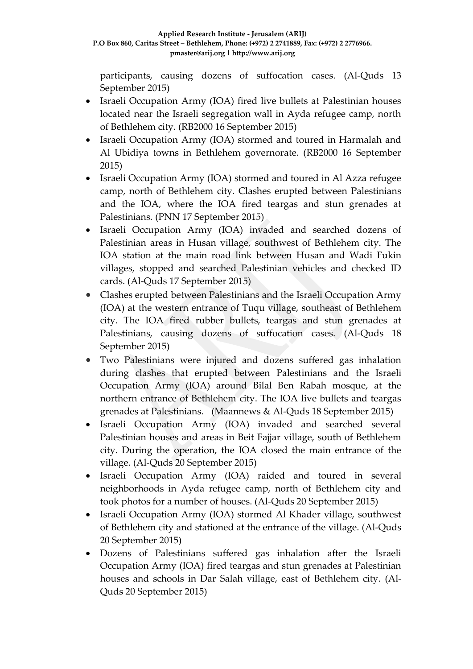participants, causing dozens of suffocation cases. (Al-Quds 13 September 2015)

- Israeli Occupation Army (IOA) fired live bullets at Palestinian houses located near the Israeli segregation wall in Ayda refugee camp, north of Bethlehem city. (RB2000 16 September 2015)
- Israeli Occupation Army (IOA) stormed and toured in Harmalah and Al Ubidiya towns in Bethlehem governorate. (RB2000 16 September 2015)
- Israeli Occupation Army (IOA) stormed and toured in Al Azza refugee camp, north of Bethlehem city. Clashes erupted between Palestinians and the IOA, where the IOA fired teargas and stun grenades at Palestinians. (PNN 17 September 2015)
- Israeli Occupation Army (IOA) invaded and searched dozens of Palestinian areas in Husan village, southwest of Bethlehem city. The IOA station at the main road link between Husan and Wadi Fukin villages, stopped and searched Palestinian vehicles and checked ID cards. (Al-Quds 17 September 2015)
- Clashes erupted between Palestinians and the Israeli Occupation Army (IOA) at the western entrance of Tuqu village, southeast of Bethlehem city. The IOA fired rubber bullets, teargas and stun grenades at Palestinians, causing dozens of suffocation cases. (Al-Quds 18 September 2015)
- Two Palestinians were injured and dozens suffered gas inhalation during clashes that erupted between Palestinians and the Israeli Occupation Army (IOA) around Bilal Ben Rabah mosque, at the northern entrance of Bethlehem city. The IOA live bullets and teargas grenades at Palestinians. (Maannews & Al-Quds 18 September 2015)
- Israeli Occupation Army (IOA) invaded and searched several Palestinian houses and areas in Beit Fajjar village, south of Bethlehem city. During the operation, the IOA closed the main entrance of the village. (Al-Quds 20 September 2015)
- Israeli Occupation Army (IOA) raided and toured in several neighborhoods in Ayda refugee camp, north of Bethlehem city and took photos for a number of houses. (Al-Quds 20 September 2015)
- Israeli Occupation Army (IOA) stormed Al Khader village, southwest of Bethlehem city and stationed at the entrance of the village. (Al-Quds 20 September 2015)
- Dozens of Palestinians suffered gas inhalation after the Israeli Occupation Army (IOA) fired teargas and stun grenades at Palestinian houses and schools in Dar Salah village, east of Bethlehem city. (Al-Quds 20 September 2015)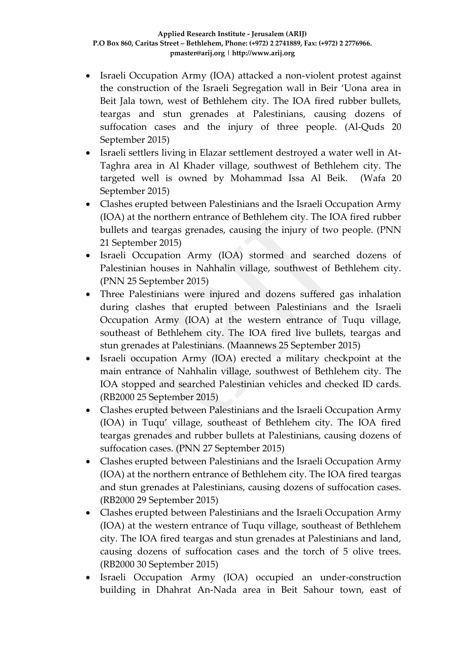- Israeli Occupation Army (IOA) attacked a non-violent protest against the construction of the Israeli Segregation wall in Beir 'Uona area in Beit Jala town, west of Bethlehem city. The IOA fired rubber bullets, teargas and stun grenades at Palestinians, causing dozens of suffocation cases and the injury of three people. (Al-Quds 20 September 2015)
- Israeli settlers living in Elazar settlement destroyed a water well in At-Taghra area in Al Khader village, southwest of Bethlehem city. The targeted well is owned by Mohammad Issa Al Beik. (Wafa 20 September 2015)
- Clashes erupted between Palestinians and the Israeli Occupation Army (IOA) at the northern entrance of Bethlehem city. The IOA fired rubber bullets and teargas grenades, causing the injury of two people. (PNN 21 September 2015)
- Israeli Occupation Army (IOA) stormed and searched dozens of Palestinian houses in Nahhalin village, southwest of Bethlehem city. (PNN 25 September 2015)
- Three Palestinians were injured and dozens suffered gas inhalation during clashes that erupted between Palestinians and the Israeli Occupation Army (IOA) at the western entrance of Tuqu village, southeast of Bethlehem city. The IOA fired live bullets, teargas and stun grenades at Palestinians. (Maannews 25 September 2015)
- Israeli occupation Army (IOA) erected a military checkpoint at the main entrance of Nahhalin village, southwest of Bethlehem city. The IOA stopped and searched Palestinian vehicles and checked ID cards. (RB2000 25 September 2015)
- Clashes erupted between Palestinians and the Israeli Occupation Army (IOA) in Tuqu' village, southeast of Bethlehem city. The IOA fired teargas grenades and rubber bullets at Palestinians, causing dozens of suffocation cases. (PNN 27 September 2015)
- Clashes erupted between Palestinians and the Israeli Occupation Army (IOA) at the northern entrance of Bethlehem city. The IOA fired teargas and stun grenades at Palestinians, causing dozens of suffocation cases. (RB2000 29 September 2015)
- Clashes erupted between Palestinians and the Israeli Occupation Army (IOA) at the western entrance of Tuqu village, southeast of Bethlehem city. The IOA fired teargas and stun grenades at Palestinians and land, causing dozens of suffocation cases and the torch of 5 olive trees. (RB2000 30 September 2015)
- Israeli Occupation Army (IOA) occupied an under-construction building in Dhahrat An-Nada area in Beit Sahour town, east of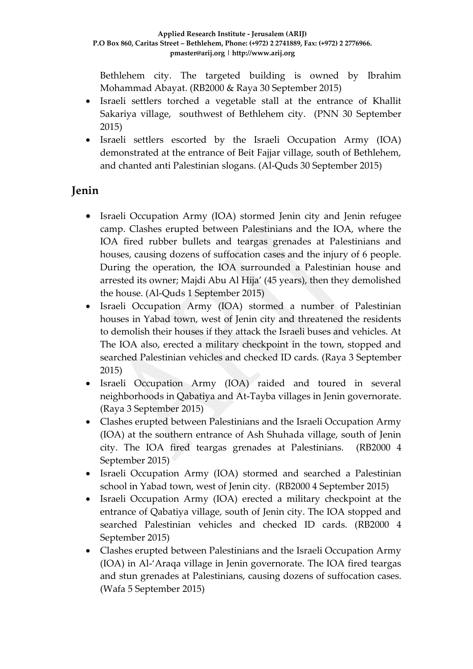Bethlehem city. The targeted building is owned by Ibrahim Mohammad Abayat. (RB2000 & Raya 30 September 2015)

- Israeli settlers torched a vegetable stall at the entrance of Khallit Sakariya village, southwest of Bethlehem city. (PNN 30 September 2015)
- Israeli settlers escorted by the Israeli Occupation Army (IOA) demonstrated at the entrance of Beit Fajjar village, south of Bethlehem, and chanted anti Palestinian slogans. (Al-Quds 30 September 2015)

## **Jenin**

- Israeli Occupation Army (IOA) stormed Jenin city and Jenin refugee camp. Clashes erupted between Palestinians and the IOA, where the IOA fired rubber bullets and teargas grenades at Palestinians and houses, causing dozens of suffocation cases and the injury of 6 people. During the operation, the IOA surrounded a Palestinian house and arrested its owner; Majdi Abu Al Hija' (45 years), then they demolished the house. (Al-Quds 1 September 2015)
- Israeli Occupation Army (IOA) stormed a number of Palestinian houses in Yabad town, west of Jenin city and threatened the residents to demolish their houses if they attack the Israeli buses and vehicles. At The IOA also, erected a military checkpoint in the town, stopped and searched Palestinian vehicles and checked ID cards. (Raya 3 September 2015)
- Israeli Occupation Army (IOA) raided and toured in several neighborhoods in Qabatiya and At-Tayba villages in Jenin governorate. (Raya 3 September 2015)
- Clashes erupted between Palestinians and the Israeli Occupation Army (IOA) at the southern entrance of Ash Shuhada village, south of Jenin city. The IOA fired teargas grenades at Palestinians. (RB2000 4 September 2015)
- Israeli Occupation Army (IOA) stormed and searched a Palestinian school in Yabad town, west of Jenin city. (RB2000 4 September 2015)
- Israeli Occupation Army (IOA) erected a military checkpoint at the entrance of Qabatiya village, south of Jenin city. The IOA stopped and searched Palestinian vehicles and checked ID cards. (RB2000 4 September 2015)
- Clashes erupted between Palestinians and the Israeli Occupation Army (IOA) in Al-'Araqa village in Jenin governorate. The IOA fired teargas and stun grenades at Palestinians, causing dozens of suffocation cases. (Wafa 5 September 2015)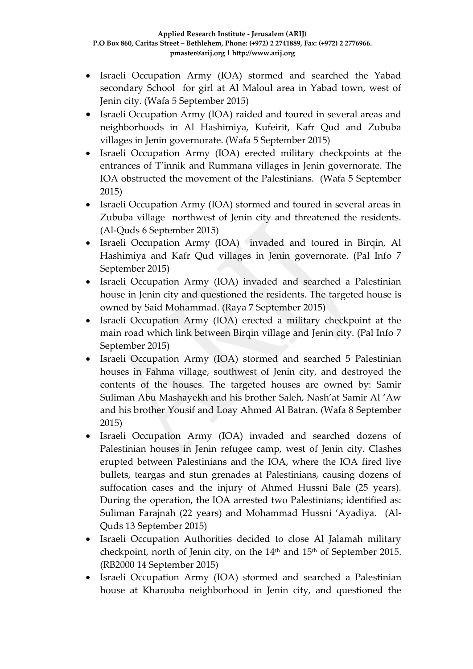- Israeli Occupation Army (IOA) stormed and searched the Yabad secondary School for girl at Al Maloul area in Yabad town, west of Jenin city. (Wafa 5 September 2015)
- Israeli Occupation Army (IOA) raided and toured in several areas and neighborhoods in Al Hashimiya, Kufeirit, Kafr Qud and Zububa villages in Jenin governorate. (Wafa 5 September 2015)
- Israeli Occupation Army (IOA) erected military checkpoints at the entrances of T'innik and Rummana villages in Jenin governorate. The IOA obstructed the movement of the Palestinians. (Wafa 5 September 2015)
- Israeli Occupation Army (IOA) stormed and toured in several areas in Zububa village northwest of Jenin city and threatened the residents. (Al-Quds 6 September 2015)
- Israeli Occupation Army (IOA) invaded and toured in Birqin, Al Hashimiya and Kafr Qud villages in Jenin governorate. (Pal Info 7 September 2015)
- Israeli Occupation Army (IOA) invaded and searched a Palestinian house in Jenin city and questioned the residents. The targeted house is owned by Said Mohammad. (Raya 7 September 2015)
- Israeli Occupation Army (IOA) erected a military checkpoint at the main road which link between Birqin village and Jenin city. (Pal Info 7 September 2015)
- Israeli Occupation Army (IOA) stormed and searched 5 Palestinian houses in Fahma village, southwest of Jenin city, and destroyed the contents of the houses. The targeted houses are owned by: Samir Suliman Abu Mashayekh and his brother Saleh, Nash'at Samir Al 'Aw and his brother Yousif and Loay Ahmed Al Batran. (Wafa 8 September 2015)
- Israeli Occupation Army (IOA) invaded and searched dozens of Palestinian houses in Jenin refugee camp, west of Jenin city. Clashes erupted between Palestinians and the IOA, where the IOA fired live bullets, teargas and stun grenades at Palestinians, causing dozens of suffocation cases and the injury of Ahmed Hussni Bale (25 years). During the operation, the IOA arrested two Palestinians; identified as: Suliman Farajnah (22 years) and Mohammad Hussni 'Ayadiya. (Al-Quds 13 September 2015)
- Israeli Occupation Authorities decided to close Al Jalamah military checkpoint, north of Jenin city, on the 14<sup>th</sup> and 15<sup>th</sup> of September 2015. (RB2000 14 September 2015)
- Israeli Occupation Army (IOA) stormed and searched a Palestinian house at Kharouba neighborhood in Jenin city, and questioned the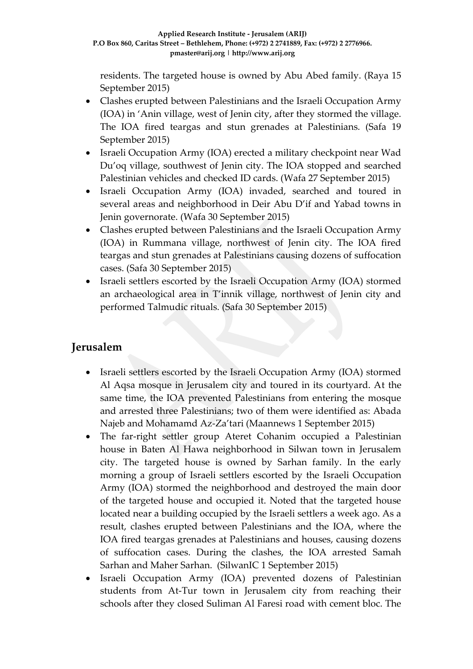residents. The targeted house is owned by Abu Abed family. (Raya 15 September 2015)

- Clashes erupted between Palestinians and the Israeli Occupation Army (IOA) in 'Anin village, west of Jenin city, after they stormed the village. The IOA fired teargas and stun grenades at Palestinians. (Safa 19 September 2015)
- Israeli Occupation Army (IOA) erected a military checkpoint near Wad Du'oq village, southwest of Jenin city. The IOA stopped and searched Palestinian vehicles and checked ID cards. (Wafa 27 September 2015)
- Israeli Occupation Army (IOA) invaded, searched and toured in several areas and neighborhood in Deir Abu D'if and Yabad towns in Jenin governorate. (Wafa 30 September 2015)
- Clashes erupted between Palestinians and the Israeli Occupation Army (IOA) in Rummana village, northwest of Jenin city. The IOA fired teargas and stun grenades at Palestinians causing dozens of suffocation cases. (Safa 30 September 2015)
- Israeli settlers escorted by the Israeli Occupation Army (IOA) stormed an archaeological area in T'innik village, northwest of Jenin city and performed Talmudic rituals. (Safa 30 September 2015)

### **Jerusalem**

- Israeli settlers escorted by the Israeli Occupation Army (IOA) stormed Al Aqsa mosque in Jerusalem city and toured in its courtyard. At the same time, the IOA prevented Palestinians from entering the mosque and arrested three Palestinians; two of them were identified as: Abada Najeb and Mohamamd Az-Za'tari (Maannews 1 September 2015)
- The far-right settler group Ateret Cohanim occupied a Palestinian house in Baten Al Hawa neighborhood in Silwan town in Jerusalem city. The targeted house is owned by Sarhan family. In the early morning a group of Israeli settlers escorted by the Israeli Occupation Army (IOA) stormed the neighborhood and destroyed the main door of the targeted house and occupied it. Noted that the targeted house located near a building occupied by the Israeli settlers a week ago. As a result, clashes erupted between Palestinians and the IOA, where the IOA fired teargas grenades at Palestinians and houses, causing dozens of suffocation cases. During the clashes, the IOA arrested Samah Sarhan and Maher Sarhan. (SilwanIC 1 September 2015)
- Israeli Occupation Army (IOA) prevented dozens of Palestinian students from At-Tur town in Jerusalem city from reaching their schools after they closed Suliman Al Faresi road with cement bloc. The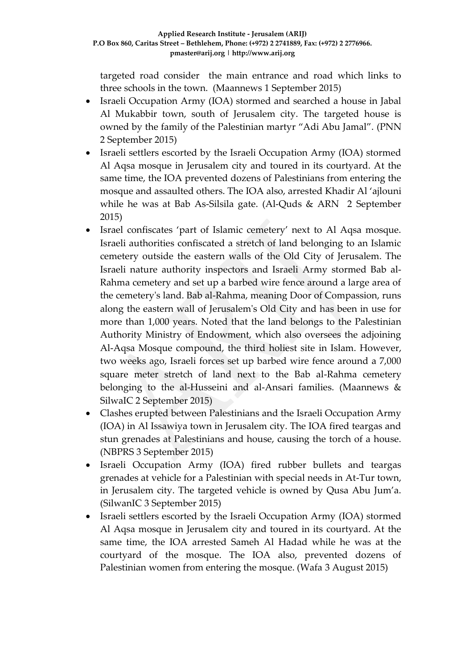targeted road consider the main entrance and road which links to three schools in the town. (Maannews 1 September 2015)

- Israeli Occupation Army (IOA) stormed and searched a house in Jabal Al Mukabbir town, south of Jerusalem city. The targeted house is owned by the family of the Palestinian martyr "Adi Abu Jamal". (PNN 2 September 2015)
- Israeli settlers escorted by the Israeli Occupation Army (IOA) stormed Al Aqsa mosque in Jerusalem city and toured in its courtyard. At the same time, the IOA prevented dozens of Palestinians from entering the mosque and assaulted others. The IOA also, arrested Khadir Al 'ajlouni while he was at Bab As-Silsila gate. (Al-Quds & ARN 2 September 2015)
- Israel confiscates 'part of Islamic cemetery' next to Al Aqsa mosque. Israeli authorities confiscated a stretch of land belonging to an Islamic cemetery outside the eastern walls of the Old City of Jerusalem. The Israeli nature authority inspectors and Israeli Army stormed Bab al-Rahma cemetery and set up a barbed wire fence around a large area of the cemetery's land. Bab al-Rahma, meaning Door of Compassion, runs along the eastern wall of Jerusalem's Old City and has been in use for more than 1,000 years. Noted that the land belongs to the Palestinian Authority Ministry of Endowment, which also oversees the adjoining Al-Aqsa Mosque compound, the third holiest site in Islam. However, two weeks ago, Israeli forces set up barbed wire fence around a 7,000 square meter stretch of land next to the Bab al-Rahma cemetery belonging to the al-Husseini and al-Ansari families. (Maannews & SilwaIC 2 September 2015)
- Clashes erupted between Palestinians and the Israeli Occupation Army (IOA) in Al Issawiya town in Jerusalem city. The IOA fired teargas and stun grenades at Palestinians and house, causing the torch of a house. (NBPRS 3 September 2015)
- Israeli Occupation Army (IOA) fired rubber bullets and teargas grenades at vehicle for a Palestinian with special needs in At-Tur town, in Jerusalem city. The targeted vehicle is owned by Qusa Abu Jum'a. (SilwanIC 3 September 2015)
- Israeli settlers escorted by the Israeli Occupation Army (IOA) stormed Al Aqsa mosque in Jerusalem city and toured in its courtyard. At the same time, the IOA arrested Sameh Al Hadad while he was at the courtyard of the mosque. The IOA also, prevented dozens of Palestinian women from entering the mosque. (Wafa 3 August 2015)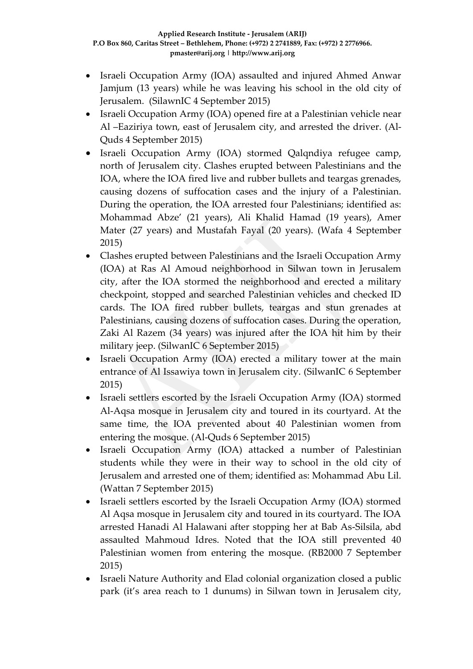- Israeli Occupation Army (IOA) assaulted and injured Ahmed Anwar Jamjum (13 years) while he was leaving his school in the old city of Jerusalem. (SilawnIC 4 September 2015)
- Israeli Occupation Army (IOA) opened fire at a Palestinian vehicle near Al –Eaziriya town, east of Jerusalem city, and arrested the driver. (Al-Quds 4 September 2015)
- Israeli Occupation Army (IOA) stormed Qalqndiya refugee camp, north of Jerusalem city. Clashes erupted between Palestinians and the IOA, where the IOA fired live and rubber bullets and teargas grenades, causing dozens of suffocation cases and the injury of a Palestinian. During the operation, the IOA arrested four Palestinians; identified as: Mohammad Abze' (21 years), Ali Khalid Hamad (19 years), Amer Mater (27 years) and Mustafah Fayal (20 years). (Wafa 4 September 2015)
- Clashes erupted between Palestinians and the Israeli Occupation Army (IOA) at Ras Al Amoud neighborhood in Silwan town in Jerusalem city, after the IOA stormed the neighborhood and erected a military checkpoint, stopped and searched Palestinian vehicles and checked ID cards. The IOA fired rubber bullets, teargas and stun grenades at Palestinians, causing dozens of suffocation cases. During the operation, Zaki Al Razem (34 years) was injured after the IOA hit him by their military jeep. (SilwanIC 6 September 2015)
- Israeli Occupation Army (IOA) erected a military tower at the main entrance of Al Issawiya town in Jerusalem city. (SilwanIC 6 September 2015)
- Israeli settlers escorted by the Israeli Occupation Army (IOA) stormed Al-Aqsa mosque in Jerusalem city and toured in its courtyard. At the same time, the IOA prevented about 40 Palestinian women from entering the mosque. (Al-Quds 6 September 2015)
- Israeli Occupation Army (IOA) attacked a number of Palestinian students while they were in their way to school in the old city of Jerusalem and arrested one of them; identified as: Mohammad Abu Lil. (Wattan 7 September 2015)
- Israeli settlers escorted by the Israeli Occupation Army (IOA) stormed Al Aqsa mosque in Jerusalem city and toured in its courtyard. The IOA arrested Hanadi Al Halawani after stopping her at Bab As-Silsila, abd assaulted Mahmoud Idres. Noted that the IOA still prevented 40 Palestinian women from entering the mosque. (RB2000 7 September 2015)
- Israeli Nature Authority and Elad colonial organization closed a public park (it's area reach to 1 dunums) in Silwan town in Jerusalem city,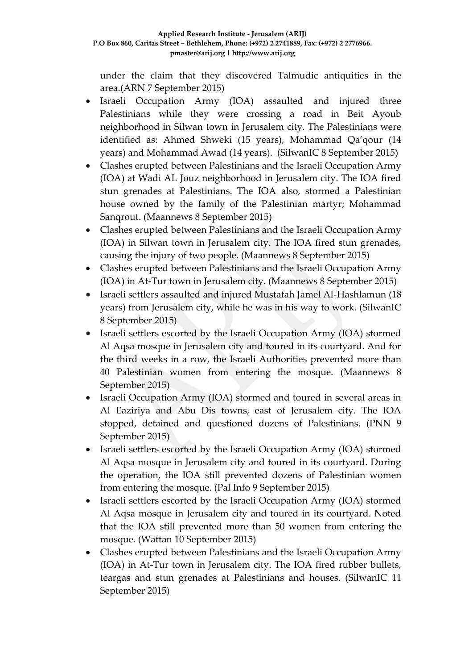under the claim that they discovered Talmudic antiquities in the area.(ARN 7 September 2015)

- Israeli Occupation Army (IOA) assaulted and injured three Palestinians while they were crossing a road in Beit Ayoub neighborhood in Silwan town in Jerusalem city. The Palestinians were identified as: Ahmed Shweki (15 years), Mohammad Qa'qour (14 years) and Mohammad Awad (14 years). (SilwanIC 8 September 2015)
- Clashes erupted between Palestinians and the Israeli Occupation Army (IOA) at Wadi AL Jouz neighborhood in Jerusalem city. The IOA fired stun grenades at Palestinians. The IOA also, stormed a Palestinian house owned by the family of the Palestinian martyr; Mohammad Sanqrout. (Maannews 8 September 2015)
- Clashes erupted between Palestinians and the Israeli Occupation Army (IOA) in Silwan town in Jerusalem city. The IOA fired stun grenades, causing the injury of two people. (Maannews 8 September 2015)
- Clashes erupted between Palestinians and the Israeli Occupation Army (IOA) in At-Tur town in Jerusalem city. (Maannews 8 September 2015)
- Israeli settlers assaulted and injured Mustafah Jamel Al-Hashlamun (18 years) from Jerusalem city, while he was in his way to work. (SilwanIC 8 September 2015)
- Israeli settlers escorted by the Israeli Occupation Army (IOA) stormed Al Aqsa mosque in Jerusalem city and toured in its courtyard. And for the third weeks in a row, the Israeli Authorities prevented more than 40 Palestinian women from entering the mosque. (Maannews 8 September 2015)
- Israeli Occupation Army (IOA) stormed and toured in several areas in Al Eaziriya and Abu Dis towns, east of Jerusalem city. The IOA stopped, detained and questioned dozens of Palestinians. (PNN 9 September 2015)
- Israeli settlers escorted by the Israeli Occupation Army (IOA) stormed Al Aqsa mosque in Jerusalem city and toured in its courtyard. During the operation, the IOA still prevented dozens of Palestinian women from entering the mosque. (Pal Info 9 September 2015)
- Israeli settlers escorted by the Israeli Occupation Army (IOA) stormed Al Aqsa mosque in Jerusalem city and toured in its courtyard. Noted that the IOA still prevented more than 50 women from entering the mosque. (Wattan 10 September 2015)
- Clashes erupted between Palestinians and the Israeli Occupation Army (IOA) in At-Tur town in Jerusalem city. The IOA fired rubber bullets, teargas and stun grenades at Palestinians and houses. (SilwanIC 11 September 2015)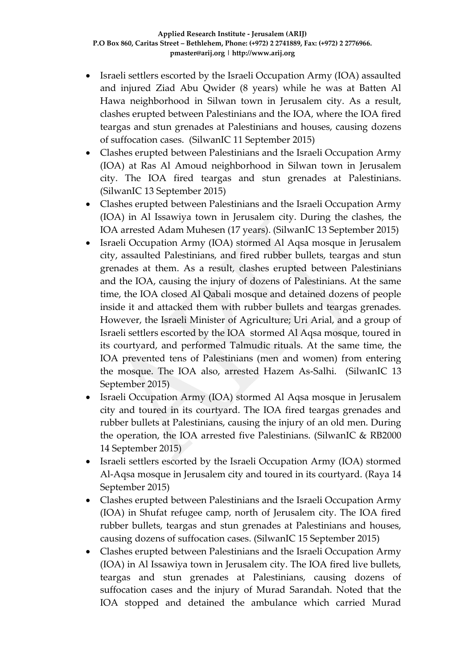- Israeli settlers escorted by the Israeli Occupation Army (IOA) assaulted and injured Ziad Abu Qwider (8 years) while he was at Batten Al Hawa neighborhood in Silwan town in Jerusalem city. As a result, clashes erupted between Palestinians and the IOA, where the IOA fired teargas and stun grenades at Palestinians and houses, causing dozens of suffocation cases. (SilwanIC 11 September 2015)
- Clashes erupted between Palestinians and the Israeli Occupation Army (IOA) at Ras Al Amoud neighborhood in Silwan town in Jerusalem city. The IOA fired teargas and stun grenades at Palestinians. (SilwanIC 13 September 2015)
- Clashes erupted between Palestinians and the Israeli Occupation Army (IOA) in Al Issawiya town in Jerusalem city. During the clashes, the IOA arrested Adam Muhesen (17 years). (SilwanIC 13 September 2015)
- Israeli Occupation Army (IOA) stormed Al Aqsa mosque in Jerusalem city, assaulted Palestinians, and fired rubber bullets, teargas and stun grenades at them. As a result, clashes erupted between Palestinians and the IOA, causing the injury of dozens of Palestinians. At the same time, the IOA closed Al Qabali mosque and detained dozens of people inside it and attacked them with rubber bullets and teargas grenades. However, the Israeli Minister of Agriculture; Uri Arial, and a group of Israeli settlers escorted by the IOA stormed Al Aqsa mosque, toured in its courtyard, and performed Talmudic rituals. At the same time, the IOA prevented tens of Palestinians (men and women) from entering the mosque. The IOA also, arrested Hazem As-Salhi. (SilwanIC 13 September 2015)
- Israeli Occupation Army (IOA) stormed Al Aqsa mosque in Jerusalem city and toured in its courtyard. The IOA fired teargas grenades and rubber bullets at Palestinians, causing the injury of an old men. During the operation, the IOA arrested five Palestinians. (SilwanIC & RB2000 14 September 2015)
- Israeli settlers escorted by the Israeli Occupation Army (IOA) stormed Al-Aqsa mosque in Jerusalem city and toured in its courtyard. (Raya 14 September 2015)
- Clashes erupted between Palestinians and the Israeli Occupation Army (IOA) in Shufat refugee camp, north of Jerusalem city. The IOA fired rubber bullets, teargas and stun grenades at Palestinians and houses, causing dozens of suffocation cases. (SilwanIC 15 September 2015)
- Clashes erupted between Palestinians and the Israeli Occupation Army (IOA) in Al Issawiya town in Jerusalem city. The IOA fired live bullets, teargas and stun grenades at Palestinians, causing dozens of suffocation cases and the injury of Murad Sarandah. Noted that the IOA stopped and detained the ambulance which carried Murad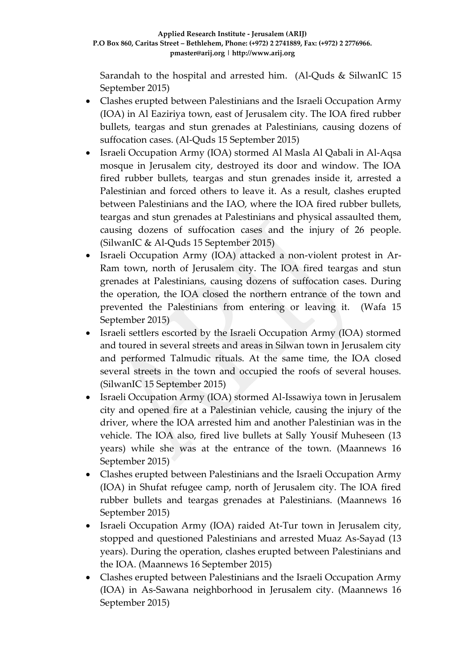Sarandah to the hospital and arrested him. (Al-Quds & SilwanIC 15 September 2015)

- Clashes erupted between Palestinians and the Israeli Occupation Army (IOA) in Al Eaziriya town, east of Jerusalem city. The IOA fired rubber bullets, teargas and stun grenades at Palestinians, causing dozens of suffocation cases. (Al-Quds 15 September 2015)
- Israeli Occupation Army (IOA) stormed Al Masla Al Qabali in Al-Aqsa mosque in Jerusalem city, destroyed its door and window. The IOA fired rubber bullets, teargas and stun grenades inside it, arrested a Palestinian and forced others to leave it. As a result, clashes erupted between Palestinians and the IAO, where the IOA fired rubber bullets, teargas and stun grenades at Palestinians and physical assaulted them, causing dozens of suffocation cases and the injury of 26 people. (SilwanIC & Al-Quds 15 September 2015)
- Israeli Occupation Army (IOA) attacked a non-violent protest in Ar-Ram town, north of Jerusalem city. The IOA fired teargas and stun grenades at Palestinians, causing dozens of suffocation cases. During the operation, the IOA closed the northern entrance of the town and prevented the Palestinians from entering or leaving it. (Wafa 15 September 2015)
- Israeli settlers escorted by the Israeli Occupation Army (IOA) stormed and toured in several streets and areas in Silwan town in Jerusalem city and performed Talmudic rituals. At the same time, the IOA closed several streets in the town and occupied the roofs of several houses. (SilwanIC 15 September 2015)
- Israeli Occupation Army (IOA) stormed Al-Issawiya town in Jerusalem city and opened fire at a Palestinian vehicle, causing the injury of the driver, where the IOA arrested him and another Palestinian was in the vehicle. The IOA also, fired live bullets at Sally Yousif Muheseen (13 years) while she was at the entrance of the town. (Maannews 16 September 2015)
- Clashes erupted between Palestinians and the Israeli Occupation Army (IOA) in Shufat refugee camp, north of Jerusalem city. The IOA fired rubber bullets and teargas grenades at Palestinians. (Maannews 16 September 2015)
- Israeli Occupation Army (IOA) raided At-Tur town in Jerusalem city, stopped and questioned Palestinians and arrested Muaz As-Sayad (13 years). During the operation, clashes erupted between Palestinians and the IOA. (Maannews 16 September 2015)
- Clashes erupted between Palestinians and the Israeli Occupation Army (IOA) in As-Sawana neighborhood in Jerusalem city. (Maannews 16 September 2015)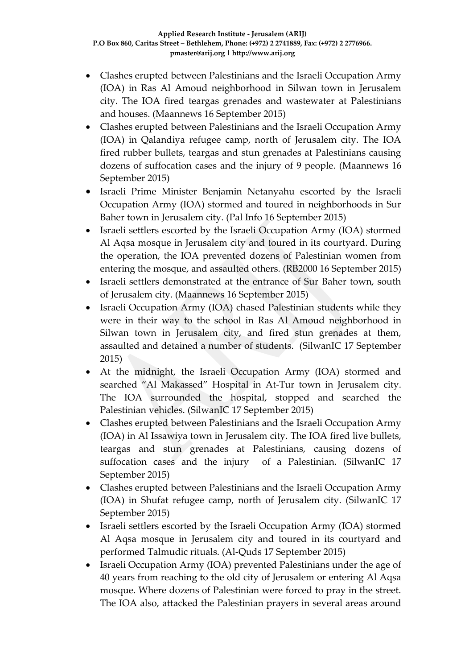- Clashes erupted between Palestinians and the Israeli Occupation Army (IOA) in Ras Al Amoud neighborhood in Silwan town in Jerusalem city. The IOA fired teargas grenades and wastewater at Palestinians and houses. (Maannews 16 September 2015)
- Clashes erupted between Palestinians and the Israeli Occupation Army (IOA) in Qalandiya refugee camp, north of Jerusalem city. The IOA fired rubber bullets, teargas and stun grenades at Palestinians causing dozens of suffocation cases and the injury of 9 people. (Maannews 16 September 2015)
- Israeli Prime Minister Benjamin Netanyahu escorted by the Israeli Occupation Army (IOA) stormed and toured in neighborhoods in Sur Baher town in Jerusalem city. (Pal Info 16 September 2015)
- Israeli settlers escorted by the Israeli Occupation Army (IOA) stormed Al Aqsa mosque in Jerusalem city and toured in its courtyard. During the operation, the IOA prevented dozens of Palestinian women from entering the mosque, and assaulted others. (RB2000 16 September 2015)
- Israeli settlers demonstrated at the entrance of Sur Baher town, south of Jerusalem city. (Maannews 16 September 2015)
- Israeli Occupation Army (IOA) chased Palestinian students while they were in their way to the school in Ras Al Amoud neighborhood in Silwan town in Jerusalem city, and fired stun grenades at them, assaulted and detained a number of students. (SilwanIC 17 September 2015)
- At the midnight, the Israeli Occupation Army (IOA) stormed and searched "Al Makassed" Hospital in At-Tur town in Jerusalem city. The IOA surrounded the hospital, stopped and searched the Palestinian vehicles. (SilwanIC 17 September 2015)
- Clashes erupted between Palestinians and the Israeli Occupation Army (IOA) in Al Issawiya town in Jerusalem city. The IOA fired live bullets, teargas and stun grenades at Palestinians, causing dozens of suffocation cases and the injury of a Palestinian. (SilwanIC 17 September 2015)
- Clashes erupted between Palestinians and the Israeli Occupation Army (IOA) in Shufat refugee camp, north of Jerusalem city. (SilwanIC 17 September 2015)
- Israeli settlers escorted by the Israeli Occupation Army (IOA) stormed Al Aqsa mosque in Jerusalem city and toured in its courtyard and performed Talmudic rituals. (Al-Quds 17 September 2015)
- Israeli Occupation Army (IOA) prevented Palestinians under the age of 40 years from reaching to the old city of Jerusalem or entering Al Aqsa mosque. Where dozens of Palestinian were forced to pray in the street. The IOA also, attacked the Palestinian prayers in several areas around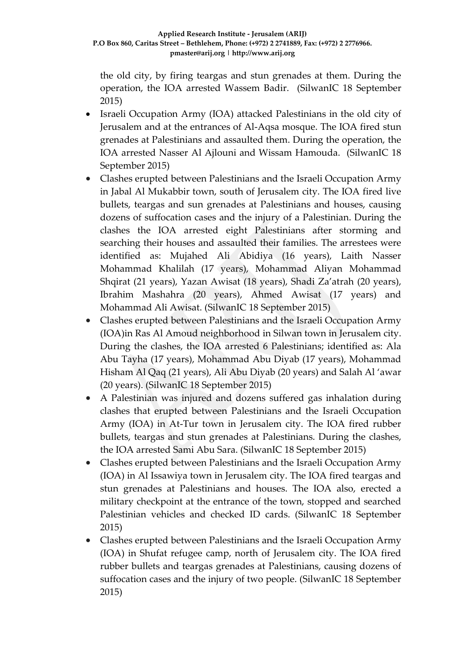the old city, by firing teargas and stun grenades at them. During the operation, the IOA arrested Wassem Badir. (SilwanIC 18 September 2015)

- Israeli Occupation Army (IOA) attacked Palestinians in the old city of Jerusalem and at the entrances of Al-Aqsa mosque. The IOA fired stun grenades at Palestinians and assaulted them. During the operation, the IOA arrested Nasser Al Ajlouni and Wissam Hamouda. (SilwanIC 18 September 2015)
- Clashes erupted between Palestinians and the Israeli Occupation Army in Jabal Al Mukabbir town, south of Jerusalem city. The IOA fired live bullets, teargas and sun grenades at Palestinians and houses, causing dozens of suffocation cases and the injury of a Palestinian. During the clashes the IOA arrested eight Palestinians after storming and searching their houses and assaulted their families. The arrestees were identified as: Mujahed Ali Abidiya (16 years), Laith Nasser Mohammad Khalilah (17 years), Mohammad Aliyan Mohammad Shqirat (21 years), Yazan Awisat (18 years), Shadi Za'atrah (20 years), Ibrahim Mashahra (20 years), Ahmed Awisat (17 years) and Mohammad Ali Awisat. (SilwanIC 18 September 2015)
- Clashes erupted between Palestinians and the Israeli Occupation Army (IOA)in Ras Al Amoud neighborhood in Silwan town in Jerusalem city. During the clashes, the IOA arrested 6 Palestinians; identified as: Ala Abu Tayha (17 years), Mohammad Abu Diyab (17 years), Mohammad Hisham Al Qaq (21 years), Ali Abu Diyab (20 years) and Salah Al 'awar (20 years). (SilwanIC 18 September 2015)
- A Palestinian was injured and dozens suffered gas inhalation during clashes that erupted between Palestinians and the Israeli Occupation Army (IOA) in At-Tur town in Jerusalem city. The IOA fired rubber bullets, teargas and stun grenades at Palestinians. During the clashes, the IOA arrested Sami Abu Sara. (SilwanIC 18 September 2015)
- Clashes erupted between Palestinians and the Israeli Occupation Army (IOA) in Al Issawiya town in Jerusalem city. The IOA fired teargas and stun grenades at Palestinians and houses. The IOA also, erected a military checkpoint at the entrance of the town, stopped and searched Palestinian vehicles and checked ID cards. (SilwanIC 18 September 2015)
- Clashes erupted between Palestinians and the Israeli Occupation Army (IOA) in Shufat refugee camp, north of Jerusalem city. The IOA fired rubber bullets and teargas grenades at Palestinians, causing dozens of suffocation cases and the injury of two people. (SilwanIC 18 September 2015)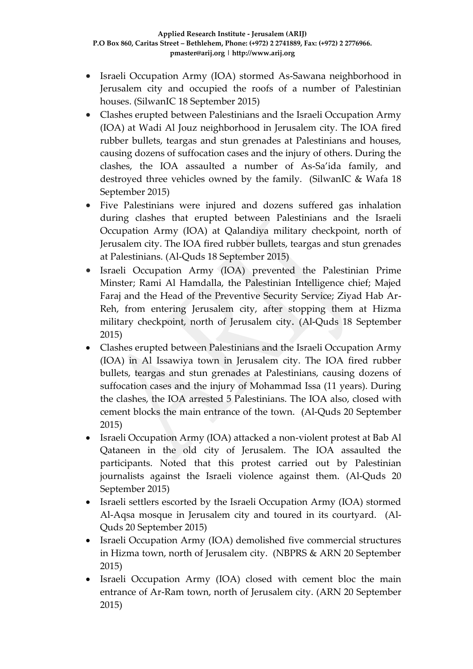- Israeli Occupation Army (IOA) stormed As-Sawana neighborhood in Jerusalem city and occupied the roofs of a number of Palestinian houses. (SilwanIC 18 September 2015)
- Clashes erupted between Palestinians and the Israeli Occupation Army (IOA) at Wadi Al Jouz neighborhood in Jerusalem city. The IOA fired rubber bullets, teargas and stun grenades at Palestinians and houses, causing dozens of suffocation cases and the injury of others. During the clashes, the IOA assaulted a number of As-Sa'ida family, and destroyed three vehicles owned by the family. (SilwanIC & Wafa 18 September 2015)
- Five Palestinians were injured and dozens suffered gas inhalation during clashes that erupted between Palestinians and the Israeli Occupation Army (IOA) at Qalandiya military checkpoint, north of Jerusalem city. The IOA fired rubber bullets, teargas and stun grenades at Palestinians. (Al-Quds 18 September 2015)
- Israeli Occupation Army (IOA) prevented the Palestinian Prime Minster; Rami Al Hamdalla, the Palestinian Intelligence chief; Majed Faraj and the Head of the Preventive Security Service; Ziyad Hab Ar-Reh, from entering Jerusalem city, after stopping them at Hizma military checkpoint, north of Jerusalem city. (Al-Quds 18 September 2015)
- Clashes erupted between Palestinians and the Israeli Occupation Army (IOA) in Al Issawiya town in Jerusalem city. The IOA fired rubber bullets, teargas and stun grenades at Palestinians, causing dozens of suffocation cases and the injury of Mohammad Issa (11 years). During the clashes, the IOA arrested 5 Palestinians. The IOA also, closed with cement blocks the main entrance of the town. (Al-Quds 20 September 2015)
- Israeli Occupation Army (IOA) attacked a non-violent protest at Bab Al Qataneen in the old city of Jerusalem. The IOA assaulted the participants. Noted that this protest carried out by Palestinian journalists against the Israeli violence against them. (Al-Quds 20 September 2015)
- Israeli settlers escorted by the Israeli Occupation Army (IOA) stormed Al-Aqsa mosque in Jerusalem city and toured in its courtyard. (Al-Quds 20 September 2015)
- Israeli Occupation Army (IOA) demolished five commercial structures in Hizma town, north of Jerusalem city. (NBPRS & ARN 20 September 2015)
- Israeli Occupation Army (IOA) closed with cement bloc the main entrance of Ar-Ram town, north of Jerusalem city. (ARN 20 September 2015)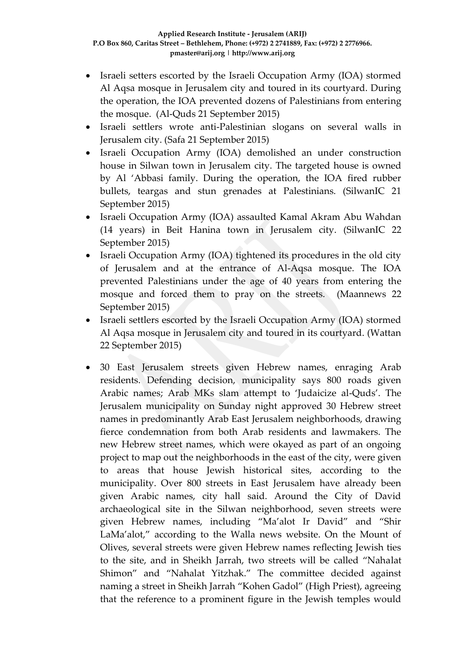- Israeli setters escorted by the Israeli Occupation Army (IOA) stormed Al Aqsa mosque in Jerusalem city and toured in its courtyard. During the operation, the IOA prevented dozens of Palestinians from entering the mosque. (Al-Quds 21 September 2015)
- Israeli settlers wrote anti-Palestinian slogans on several walls in Jerusalem city. (Safa 21 September 2015)
- Israeli Occupation Army (IOA) demolished an under construction house in Silwan town in Jerusalem city. The targeted house is owned by Al 'Abbasi family. During the operation, the IOA fired rubber bullets, teargas and stun grenades at Palestinians. (SilwanIC 21 September 2015)
- Israeli Occupation Army (IOA) assaulted Kamal Akram Abu Wahdan (14 years) in Beit Hanina town in Jerusalem city. (SilwanIC 22 September 2015)
- Israeli Occupation Army (IOA) tightened its procedures in the old city of Jerusalem and at the entrance of Al-Aqsa mosque. The IOA prevented Palestinians under the age of 40 years from entering the mosque and forced them to pray on the streets. (Maannews 22 September 2015)
- Israeli settlers escorted by the Israeli Occupation Army (IOA) stormed Al Aqsa mosque in Jerusalem city and toured in its courtyard. (Wattan 22 September 2015)
- 30 East Jerusalem streets given Hebrew names, enraging Arab residents. Defending decision, municipality says 800 roads given Arabic names; Arab MKs slam attempt to 'Judaicize al-Quds'. The Jerusalem municipality on Sunday night approved 30 Hebrew street names in predominantly Arab East Jerusalem neighborhoods, drawing fierce condemnation from both Arab residents and lawmakers. The new Hebrew street names, which were okayed as part of an ongoing project to map out the neighborhoods in the east of the city, were given to areas that house Jewish historical sites, according to the municipality. Over 800 streets in East Jerusalem have already been given Arabic names, city hall said. Around the City of David archaeological site in the Silwan neighborhood, seven streets were given Hebrew names, including "Ma'alot Ir David" and "Shir LaMa'alot," according to the Walla news website. On the Mount of Olives, several streets were given Hebrew names reflecting Jewish ties to the site, and in Sheikh Jarrah, two streets will be called "Nahalat Shimon" and "Nahalat Yitzhak." The committee decided against naming a street in Sheikh Jarrah "Kohen Gadol" (High Priest), agreeing that the reference to a prominent figure in the Jewish temples would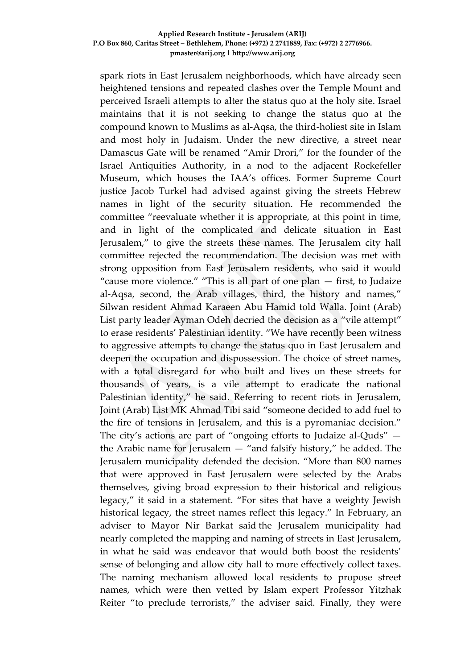spark riots in East Jerusalem neighborhoods, which have already seen heightened tensions and repeated clashes over the Temple Mount and perceived Israeli attempts to alter the status quo at the holy site. Israel maintains that it is not seeking to change the status quo at the compound known to Muslims as al-Aqsa, the third-holiest site in Islam and most holy in Judaism. Under the new directive, a street near Damascus Gate will be renamed "Amir Drori," for the founder of the Israel Antiquities Authority, in a nod to the adjacent Rockefeller Museum, which houses the IAA's offices. Former Supreme Court justice Jacob Turkel had advised against giving the streets Hebrew names in light of the security situation. He recommended the committee "reevaluate whether it is appropriate, at this point in time, and in light of the complicated and delicate situation in East Jerusalem," to give the streets these names. The Jerusalem city hall committee rejected the recommendation. The decision was met with strong opposition from East Jerusalem residents, who said it would "cause more violence." "This is all part of one plan — first, to Judaize al-Aqsa, second, the Arab villages, third, the history and names," Silwan resident Ahmad Karaeen Abu Hamid told Walla. Joint (Arab) List party leader Ayman Odeh decried the decision as a "vile attempt" to erase residents' Palestinian identity. "We have recently been witness to aggressive attempts to change the status quo in East Jerusalem and deepen the occupation and dispossession. The choice of street names, with a total disregard for who built and lives on these streets for thousands of years, is a vile attempt to eradicate the national Palestinian identity," he said. Referring to recent riots in Jerusalem, Joint (Arab) List MK Ahmad Tibi said "someone decided to add fuel to the fire of tensions in Jerusalem, and this is a pyromaniac decision." The city's actions are part of "ongoing efforts to Judaize al-Quds" the Arabic name for Jerusalem — "and falsify history," he added. The Jerusalem municipality defended the decision. "More than 800 names that were approved in East Jerusalem were selected by the Arabs themselves, giving broad expression to their historical and religious legacy," it said in a statement. "For sites that have a weighty Jewish historical legacy, the street names reflect this legacy." In February, [an](http://www.timesofisrael.com/city-hall-almost-done-mapping-east-jerusalem/) [adviser](http://www.timesofisrael.com/city-hall-almost-done-mapping-east-jerusalem/) to Mayor Nir Barkat said the Jerusalem municipality had nearly completed the mapping and naming of streets in East Jerusalem, in what he said was endeavor that would both boost the residents' sense of belonging and allow city hall to more effectively collect taxes. The naming mechanism allowed local residents to propose street names, which were then vetted by Islam expert Professor Yitzhak Reiter "to preclude terrorists," the adviser said. Finally, they were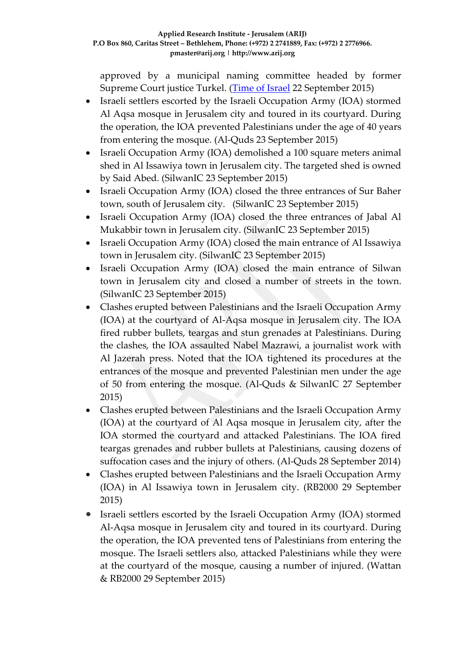approved by a municipal naming committee headed by former Supreme Court justice Turkel. [\(Time of Israel](http://www.timesofisrael.com/hebrew-street-names-okayed-for-east-jerusalem-enraging-arab-residents/) 22 September 2015)

- Israeli settlers escorted by the Israeli Occupation Army (IOA) stormed Al Aqsa mosque in Jerusalem city and toured in its courtyard. During the operation, the IOA prevented Palestinians under the age of 40 years from entering the mosque. (Al-Quds 23 September 2015)
- Israeli Occupation Army (IOA) demolished a 100 square meters animal shed in Al Issawiya town in Jerusalem city. The targeted shed is owned by Said Abed. (SilwanIC 23 September 2015)
- Israeli Occupation Army (IOA) closed the three entrances of Sur Baher town, south of Jerusalem city. (SilwanIC 23 September 2015)
- Israeli Occupation Army (IOA) closed the three entrances of Jabal Al Mukabbir town in Jerusalem city. (SilwanIC 23 September 2015)
- Israeli Occupation Army (IOA) closed the main entrance of Al Issawiya town in Jerusalem city. (SilwanIC 23 September 2015)
- Israeli Occupation Army (IOA) closed the main entrance of Silwan town in Jerusalem city and closed a number of streets in the town. (SilwanIC 23 September 2015)
- Clashes erupted between Palestinians and the Israeli Occupation Army (IOA) at the courtyard of Al-Aqsa mosque in Jerusalem city. The IOA fired rubber bullets, teargas and stun grenades at Palestinians. During the clashes, the IOA assaulted Nabel Mazrawi, a journalist work with Al Jazerah press. Noted that the IOA tightened its procedures at the entrances of the mosque and prevented Palestinian men under the age of 50 from entering the mosque. (Al-Quds & SilwanIC 27 September 2015)
- Clashes erupted between Palestinians and the Israeli Occupation Army (IOA) at the courtyard of Al Aqsa mosque in Jerusalem city, after the IOA stormed the courtyard and attacked Palestinians. The IOA fired teargas grenades and rubber bullets at Palestinians, causing dozens of suffocation cases and the injury of others. (Al-Quds 28 September 2014)
- Clashes erupted between Palestinians and the Israeli Occupation Army (IOA) in Al Issawiya town in Jerusalem city. (RB2000 29 September 2015)
- Israeli settlers escorted by the Israeli Occupation Army (IOA) stormed Al-Aqsa mosque in Jerusalem city and toured in its courtyard. During the operation, the IOA prevented tens of Palestinians from entering the mosque. The Israeli settlers also, attacked Palestinians while they were at the courtyard of the mosque, causing a number of injured. (Wattan & RB2000 29 September 2015)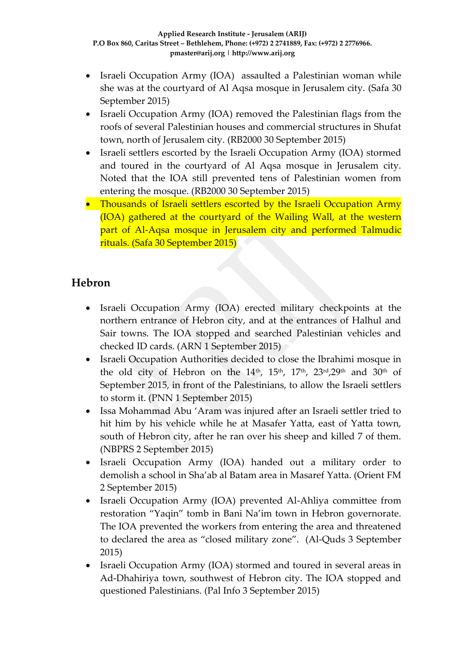- Israeli Occupation Army (IOA) assaulted a Palestinian woman while she was at the courtyard of Al Aqsa mosque in Jerusalem city. (Safa 30 September 2015)
- Israeli Occupation Army (IOA) removed the Palestinian flags from the roofs of several Palestinian houses and commercial structures in Shufat town, north of Jerusalem city. (RB2000 30 September 2015)
- Israeli settlers escorted by the Israeli Occupation Army (IOA) stormed and toured in the courtyard of Al Aqsa mosque in Jerusalem city. Noted that the IOA still prevented tens of Palestinian women from entering the mosque. (RB2000 30 September 2015)
- Thousands of Israeli settlers escorted by the Israeli Occupation Army (IOA) gathered at the courtyard of the Wailing Wall, at the western part of Al-Aqsa mosque in Jerusalem city and performed Talmudic rituals. (Safa 30 September 2015)

### **Hebron**

- Israeli Occupation Army (IOA) erected military checkpoints at the northern entrance of Hebron city, and at the entrances of Halhul and Sair towns. The IOA stopped and searched Palestinian vehicles and checked ID cards. (ARN 1 September 2015)
- Israeli Occupation Authorities decided to close the Ibrahimi mosque in the old city of Hebron on the 14<sup>th</sup>, 15<sup>th</sup>, 17<sup>th</sup>, 23<sup>rd</sup>,29<sup>th</sup> and 30<sup>th</sup> of September 2015, in front of the Palestinians, to allow the Israeli settlers to storm it. (PNN 1 September 2015)
- Issa Mohammad Abu 'Aram was injured after an Israeli settler tried to hit him by his vehicle while he at Masafer Yatta, east of Yatta town, south of Hebron city, after he ran over his sheep and killed 7 of them. (NBPRS 2 September 2015)
- Israeli Occupation Army (IOA) handed out a military order to demolish a school in Sha'ab al Batam area in Masaref Yatta. (Orient FM 2 September 2015)
- Israeli Occupation Army (IOA) prevented Al-Ahliya committee from restoration "Yaqin" tomb in Bani Na'im town in Hebron governorate. The IOA prevented the workers from entering the area and threatened to declared the area as "closed military zone". (Al-Quds 3 September 2015)
- Israeli Occupation Army (IOA) stormed and toured in several areas in Ad-Dhahiriya town, southwest of Hebron city. The IOA stopped and questioned Palestinians. (Pal Info 3 September 2015)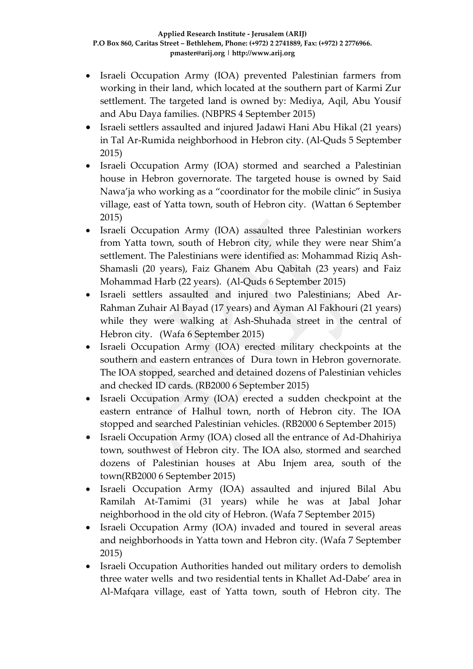- Israeli Occupation Army (IOA) prevented Palestinian farmers from working in their land, which located at the southern part of Karmi Zur settlement. The targeted land is owned by: Mediya, Aqil, Abu Yousif and Abu Daya families. (NBPRS 4 September 2015)
- Israeli settlers assaulted and injured Jadawi Hani Abu Hikal (21 years) in Tal Ar-Rumida neighborhood in Hebron city. (Al-Quds 5 September 2015)
- Israeli Occupation Army (IOA) stormed and searched a Palestinian house in Hebron governorate. The targeted house is owned by Said Nawa'ja who working as a "coordinator for the mobile clinic" in Susiya village, east of Yatta town, south of Hebron city. (Wattan 6 September 2015)
- Israeli Occupation Army (IOA) assaulted three Palestinian workers from Yatta town, south of Hebron city, while they were near Shim'a settlement. The Palestinians were identified as: Mohammad Riziq Ash-Shamasli (20 years), Faiz Ghanem Abu Qabitah (23 years) and Faiz Mohammad Harb (22 years). (Al-Quds 6 September 2015)
- Israeli settlers assaulted and injured two Palestinians; Abed Ar-Rahman Zuhair Al Bayad (17 years) and Ayman Al Fakhouri (21 years) while they were walking at Ash-Shuhada street in the central of Hebron city. (Wafa 6 September 2015)
- Israeli Occupation Army (IOA) erected military checkpoints at the southern and eastern entrances of Dura town in Hebron governorate. The IOA stopped, searched and detained dozens of Palestinian vehicles and checked ID cards. (RB2000 6 September 2015)
- Israeli Occupation Army (IOA) erected a sudden checkpoint at the eastern entrance of Halhul town, north of Hebron city. The IOA stopped and searched Palestinian vehicles. (RB2000 6 September 2015)
- Israeli Occupation Army (IOA) closed all the entrance of Ad-Dhahiriya town, southwest of Hebron city. The IOA also, stormed and searched dozens of Palestinian houses at Abu Injem area, south of the town(RB2000 6 September 2015)
- Israeli Occupation Army (IOA) assaulted and injured Bilal Abu Ramilah At-Tamimi (31 years) while he was at Jabal Johar neighborhood in the old city of Hebron. (Wafa 7 September 2015)
- Israeli Occupation Army (IOA) invaded and toured in several areas and neighborhoods in Yatta town and Hebron city. (Wafa 7 September 2015)
- Israeli Occupation Authorities handed out military orders to demolish three water wells and two residential tents in Khallet Ad-Dabe' area in Al-Mafqara village, east of Yatta town, south of Hebron city. The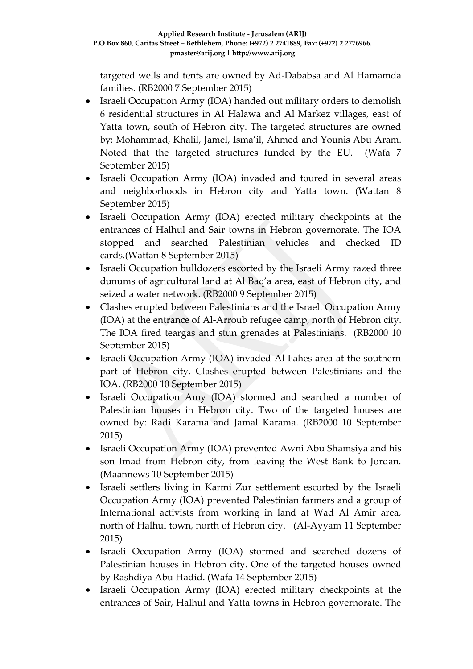targeted wells and tents are owned by Ad-Dababsa and Al Hamamda families. (RB2000 7 September 2015)

- Israeli Occupation Army (IOA) handed out military orders to demolish 6 residential structures in Al Halawa and Al Markez villages, east of Yatta town, south of Hebron city. The targeted structures are owned by: Mohammad, Khalil, Jamel, Isma'il, Ahmed and Younis Abu Aram. Noted that the targeted structures funded by the EU. (Wafa 7 September 2015)
- Israeli Occupation Army (IOA) invaded and toured in several areas and neighborhoods in Hebron city and Yatta town. (Wattan 8 September 2015)
- Israeli Occupation Army (IOA) erected military checkpoints at the entrances of Halhul and Sair towns in Hebron governorate. The IOA stopped and searched Palestinian vehicles and checked ID cards.(Wattan 8 September 2015)
- Israeli Occupation bulldozers escorted by the Israeli Army razed three dunums of agricultural land at Al Baq'a area, east of Hebron city, and seized a water network. (RB2000 9 September 2015)
- Clashes erupted between Palestinians and the Israeli Occupation Army (IOA) at the entrance of Al-Arroub refugee camp, north of Hebron city. The IOA fired teargas and stun grenades at Palestinians. (RB2000 10 September 2015)
- Israeli Occupation Army (IOA) invaded Al Fahes area at the southern part of Hebron city. Clashes erupted between Palestinians and the IOA. (RB2000 10 September 2015)
- Israeli Occupation Amy (IOA) stormed and searched a number of Palestinian houses in Hebron city. Two of the targeted houses are owned by: Radi Karama and Jamal Karama. (RB2000 10 September 2015)
- Israeli Occupation Army (IOA) prevented Awni Abu Shamsiya and his son Imad from Hebron city, from leaving the West Bank to Jordan. (Maannews 10 September 2015)
- Israeli settlers living in Karmi Zur settlement escorted by the Israeli Occupation Army (IOA) prevented Palestinian farmers and a group of International activists from working in land at Wad Al Amir area, north of Halhul town, north of Hebron city. (Al-Ayyam 11 September 2015)
- Israeli Occupation Army (IOA) stormed and searched dozens of Palestinian houses in Hebron city. One of the targeted houses owned by Rashdiya Abu Hadid. (Wafa 14 September 2015)
- Israeli Occupation Army (IOA) erected military checkpoints at the entrances of Sair, Halhul and Yatta towns in Hebron governorate. The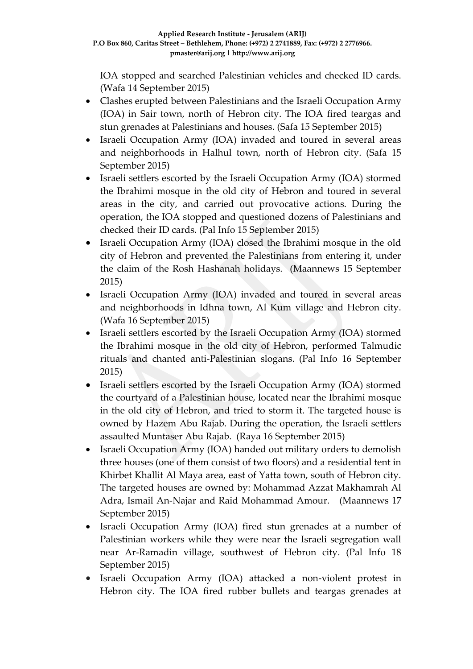IOA stopped and searched Palestinian vehicles and checked ID cards. (Wafa 14 September 2015)

- Clashes erupted between Palestinians and the Israeli Occupation Army (IOA) in Sair town, north of Hebron city. The IOA fired teargas and stun grenades at Palestinians and houses. (Safa 15 September 2015)
- Israeli Occupation Army (IOA) invaded and toured in several areas and neighborhoods in Halhul town, north of Hebron city. (Safa 15 September 2015)
- Israeli settlers escorted by the Israeli Occupation Army (IOA) stormed the Ibrahimi mosque in the old city of Hebron and toured in several areas in the city, and carried out provocative actions. During the operation, the IOA stopped and questioned dozens of Palestinians and checked their ID cards. (Pal Info 15 September 2015)
- Israeli Occupation Army (IOA) closed the Ibrahimi mosque in the old city of Hebron and prevented the Palestinians from entering it, under the claim of the Rosh Hashanah holidays. (Maannews 15 September 2015)
- Israeli Occupation Army (IOA) invaded and toured in several areas and neighborhoods in Idhna town, Al Kum village and Hebron city. (Wafa 16 September 2015)
- Israeli settlers escorted by the Israeli Occupation Army (IOA) stormed the Ibrahimi mosque in the old city of Hebron, performed Talmudic rituals and chanted anti-Palestinian slogans. (Pal Info 16 September 2015)
- Israeli settlers escorted by the Israeli Occupation Army (IOA) stormed the courtyard of a Palestinian house, located near the Ibrahimi mosque in the old city of Hebron, and tried to storm it. The targeted house is owned by Hazem Abu Rajab. During the operation, the Israeli settlers assaulted Muntaser Abu Rajab. (Raya 16 September 2015)
- Israeli Occupation Army (IOA) handed out military orders to demolish three houses (one of them consist of two floors) and a residential tent in Khirbet Khallit Al Maya area, east of Yatta town, south of Hebron city. The targeted houses are owned by: Mohammad Azzat Makhamrah Al Adra, Ismail An-Najar and Raid Mohammad Amour. (Maannews 17 September 2015)
- Israeli Occupation Army (IOA) fired stun grenades at a number of Palestinian workers while they were near the Israeli segregation wall near Ar-Ramadin village, southwest of Hebron city. (Pal Info 18 September 2015)
- Israeli Occupation Army (IOA) attacked a non-violent protest in Hebron city. The IOA fired rubber bullets and teargas grenades at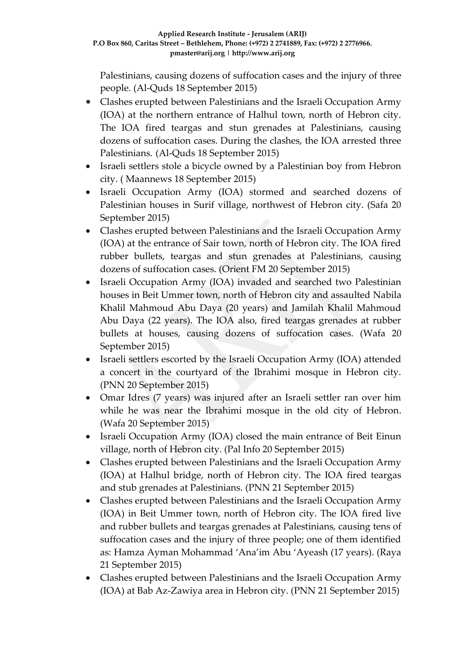Palestinians, causing dozens of suffocation cases and the injury of three people. (Al-Quds 18 September 2015)

- Clashes erupted between Palestinians and the Israeli Occupation Army (IOA) at the northern entrance of Halhul town, north of Hebron city. The IOA fired teargas and stun grenades at Palestinians, causing dozens of suffocation cases. During the clashes, the IOA arrested three Palestinians. (Al-Quds 18 September 2015)
- Israeli settlers stole a bicycle owned by a Palestinian boy from Hebron city. ( Maannews 18 September 2015)
- Israeli Occupation Army (IOA) stormed and searched dozens of Palestinian houses in Surif village, northwest of Hebron city. (Safa 20 September 2015)
- Clashes erupted between Palestinians and the Israeli Occupation Army (IOA) at the entrance of Sair town, north of Hebron city. The IOA fired rubber bullets, teargas and stun grenades at Palestinians, causing dozens of suffocation cases. (Orient FM 20 September 2015)
- Israeli Occupation Army (IOA) invaded and searched two Palestinian houses in Beit Ummer town, north of Hebron city and assaulted Nabila Khalil Mahmoud Abu Daya (20 years) and Jamilah Khalil Mahmoud Abu Daya (22 years). The IOA also, fired teargas grenades at rubber bullets at houses, causing dozens of suffocation cases. (Wafa 20 September 2015)
- Israeli settlers escorted by the Israeli Occupation Army (IOA) attended a concert in the courtyard of the Ibrahimi mosque in Hebron city. (PNN 20 September 2015)
- Omar Idres (7 years) was injured after an Israeli settler ran over him while he was near the Ibrahimi mosque in the old city of Hebron. (Wafa 20 September 2015)
- Israeli Occupation Army (IOA) closed the main entrance of Beit Einun village, north of Hebron city. (Pal Info 20 September 2015)
- Clashes erupted between Palestinians and the Israeli Occupation Army (IOA) at Halhul bridge, north of Hebron city. The IOA fired teargas and stub grenades at Palestinians. (PNN 21 September 2015)
- Clashes erupted between Palestinians and the Israeli Occupation Army (IOA) in Beit Ummer town, north of Hebron city. The IOA fired live and rubber bullets and teargas grenades at Palestinians, causing tens of suffocation cases and the injury of three people; one of them identified as: Hamza Ayman Mohammad 'Ana'im Abu 'Ayeash (17 years). (Raya 21 September 2015)
- Clashes erupted between Palestinians and the Israeli Occupation Army (IOA) at Bab Az-Zawiya area in Hebron city. (PNN 21 September 2015)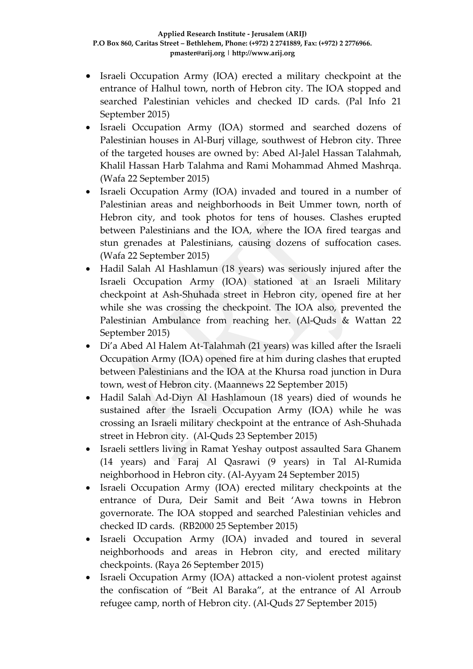- Israeli Occupation Army (IOA) erected a military checkpoint at the entrance of Halhul town, north of Hebron city. The IOA stopped and searched Palestinian vehicles and checked ID cards. (Pal Info 21 September 2015)
- Israeli Occupation Army (IOA) stormed and searched dozens of Palestinian houses in Al-Burj village, southwest of Hebron city. Three of the targeted houses are owned by: Abed Al-Jalel Hassan Talahmah, Khalil Hassan Harb Talahma and Rami Mohammad Ahmed Mashrqa. (Wafa 22 September 2015)
- Israeli Occupation Army (IOA) invaded and toured in a number of Palestinian areas and neighborhoods in Beit Ummer town, north of Hebron city, and took photos for tens of houses. Clashes erupted between Palestinians and the IOA, where the IOA fired teargas and stun grenades at Palestinians, causing dozens of suffocation cases. (Wafa 22 September 2015)
- Hadil Salah Al Hashlamun (18 years) was seriously injured after the Israeli Occupation Army (IOA) stationed at an Israeli Military checkpoint at Ash-Shuhada street in Hebron city, opened fire at her while she was crossing the checkpoint. The IOA also, prevented the Palestinian Ambulance from reaching her. (Al-Quds & Wattan 22 September 2015)
- Di'a Abed Al Halem At-Talahmah (21 years) was killed after the Israeli Occupation Army (IOA) opened fire at him during clashes that erupted between Palestinians and the IOA at the Khursa road junction in Dura town, west of Hebron city. (Maannews 22 September 2015)
- Hadil Salah Ad-Diyn Al Hashlamoun (18 years) died of wounds he sustained after the Israeli Occupation Army (IOA) while he was crossing an Israeli military checkpoint at the entrance of Ash-Shuhada street in Hebron city. (Al-Quds 23 September 2015)
- Israeli settlers living in Ramat Yeshay outpost assaulted Sara Ghanem (14 years) and Faraj Al Qasrawi (9 years) in Tal Al-Rumida neighborhood in Hebron city. (Al-Ayyam 24 September 2015)
- Israeli Occupation Army (IOA) erected military checkpoints at the entrance of Dura, Deir Samit and Beit 'Awa towns in Hebron governorate. The IOA stopped and searched Palestinian vehicles and checked ID cards. (RB2000 25 September 2015)
- Israeli Occupation Army (IOA) invaded and toured in several neighborhoods and areas in Hebron city, and erected military checkpoints. (Raya 26 September 2015)
- Israeli Occupation Army (IOA) attacked a non-violent protest against the confiscation of "Beit Al Baraka", at the entrance of Al Arroub refugee camp, north of Hebron city. (Al-Quds 27 September 2015)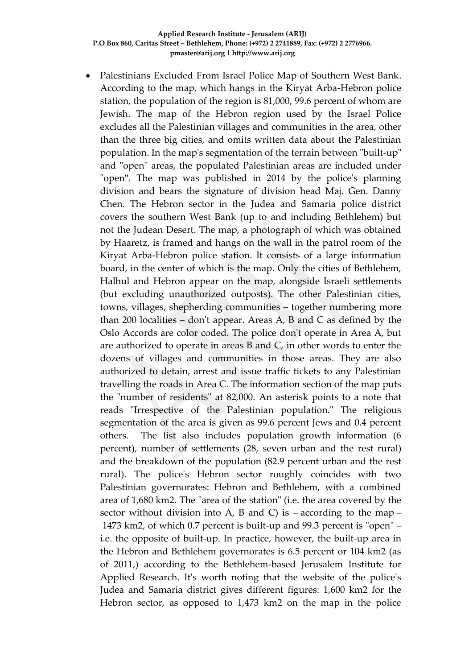Palestinians Excluded From Israel Police Map of Southern West Bank. According to the map, which hangs in the Kiryat Arba-Hebron police station, the population of the region is 81,000, 99.6 percent of whom are Jewish. The map of the Hebron region used by the Israel Police excludes all the Palestinian villages and communities in the area, other than the three big cities, and omits written data about the Palestinian population. In the map's segmentation of the terrain between "built-up" and "open" areas, the populated Palestinian areas are included under "open". The map was published in 2014 by the police's planning division and bears the signature of division head Maj. Gen. Danny Chen. The Hebron sector in the Judea and Samaria police district covers the southern West Bank (up to and including Bethlehem) but not the Judean Desert. The map, a photograph of which was obtained by Haaretz, is framed and hangs on the wall in the patrol room of the Kiryat Arba-Hebron police station. It consists of a large information board, in the center of which is the map. Only the cities of Bethlehem, Halhul and Hebron appear on the map, alongside Israeli settlements (but excluding unauthorized outposts). The other Palestinian cities, towns, villages, shepherding communities – together numbering more than 200 localities – don't appear. Areas A, B and C as defined by the Oslo Accords are color coded. The police don't operate in Area A, but are authorized to operate in areas B and C, in other words to enter the dozens of villages and communities in those areas. They are also authorized to detain, arrest and issue traffic tickets to any Palestinian travelling the roads in Area C. The information section of the map puts the "number of residents" at 82,000. An asterisk points to a note that reads "Irrespective of the Palestinian population." The religious segmentation of the area is given as 99.6 percent Jews and 0.4 percent others. The list also includes population growth information (6 percent), number of settlements (28, seven urban and the rest rural) and the breakdown of the population (82.9 percent urban and the rest rural). The police's Hebron sector roughly coincides with two Palestinian governorates: Hebron and Bethlehem, with a combined area of 1,680 km2. The "area of the station" (i.e. the area covered by the sector without division into A, B and C) is  $-$  according to the map  $-$ 1473 km2, of which 0.7 percent is built-up and 99.3 percent is "open" – i.e. the opposite of built-up. In practice, however, the built-up area in the Hebron and Bethlehem governorates is 6.5 percent or 104 km2 (as of 2011,) according to the Bethlehem-based Jerusalem Institute for Applied Research. It's worth noting that the website of the police's Judea and Samaria district gives different figures: 1,600 km2 for the Hebron sector, as opposed to 1,473 km2 on the map in the police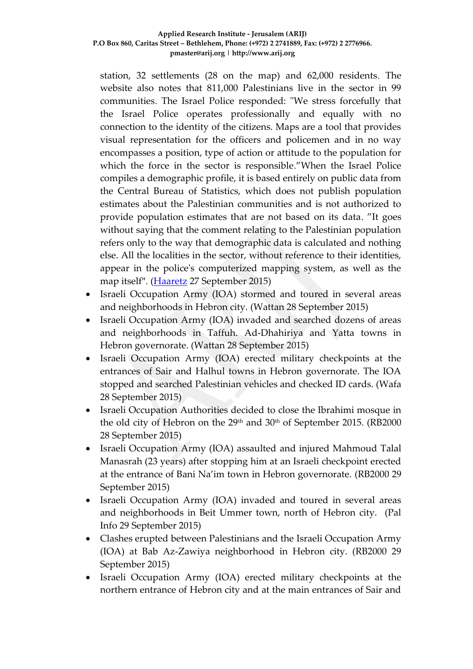station, 32 settlements (28 on the map) and 62,000 residents. The website also notes that 811,000 Palestinians live in the sector in 99 communities. The Israel Police responded: "We stress forcefully that the Israel Police operates professionally and equally with no connection to the identity of the citizens. Maps are a tool that provides visual representation for the officers and policemen and in no way encompasses a position, type of action or attitude to the population for which the force in the sector is responsible."When the Israel Police compiles a demographic profile, it is based entirely on public data from the Central Bureau of Statistics, which does not publish population estimates about the Palestinian communities and is not authorized to provide population estimates that are not based on its data. "It goes without saying that the comment relating to the Palestinian population refers only to the way that demographic data is calculated and nothing else. All the localities in the sector, without reference to their identities, appear in the police's computerized mapping system, as well as the map itself". [\(Haaretz](http://www.haaretz.com/news/israel/.premium-1.677631) 27 September 2015)

- Israeli Occupation Army (IOA) stormed and toured in several areas and neighborhoods in Hebron city. (Wattan 28 September 2015)
- Israeli Occupation Army (IOA) invaded and searched dozens of areas and neighborhoods in Taffuh. Ad-Dhahiriya and Yatta towns in Hebron governorate. (Wattan 28 September 2015)
- Israeli Occupation Army (IOA) erected military checkpoints at the entrances of Sair and Halhul towns in Hebron governorate. The IOA stopped and searched Palestinian vehicles and checked ID cards. (Wafa 28 September 2015)
- Israeli Occupation Authorities decided to close the Ibrahimi mosque in the old city of Hebron on the 29<sup>th</sup> and 30<sup>th</sup> of September 2015. (RB2000) 28 September 2015)
- Israeli Occupation Army (IOA) assaulted and injured Mahmoud Talal Manasrah (23 years) after stopping him at an Israeli checkpoint erected at the entrance of Bani Na'im town in Hebron governorate. (RB2000 29 September 2015)
- Israeli Occupation Army (IOA) invaded and toured in several areas and neighborhoods in Beit Ummer town, north of Hebron city. (Pal Info 29 September 2015)
- Clashes erupted between Palestinians and the Israeli Occupation Army (IOA) at Bab Az-Zawiya neighborhood in Hebron city. (RB2000 29 September 2015)
- Israeli Occupation Army (IOA) erected military checkpoints at the northern entrance of Hebron city and at the main entrances of Sair and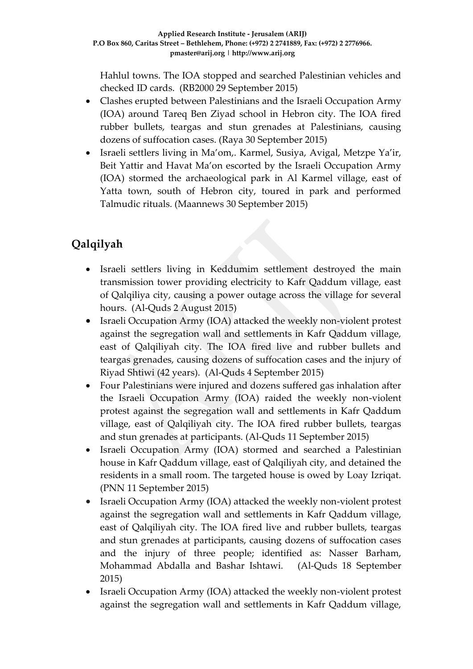Hahlul towns. The IOA stopped and searched Palestinian vehicles and checked ID cards. (RB2000 29 September 2015)

- Clashes erupted between Palestinians and the Israeli Occupation Army (IOA) around Tareq Ben Ziyad school in Hebron city. The IOA fired rubber bullets, teargas and stun grenades at Palestinians, causing dozens of suffocation cases. (Raya 30 September 2015)
- Israeli settlers living in Ma'om,. Karmel, Susiya, Avigal, Metzpe Ya'ir, Beit Yattir and Havat Ma'on escorted by the Israeli Occupation Army (IOA) stormed the archaeological park in Al Karmel village, east of Yatta town, south of Hebron city, toured in park and performed Talmudic rituals. (Maannews 30 September 2015)

# **Qalqilyah**

- Israeli settlers living in Keddumim settlement destroyed the main transmission tower providing electricity to Kafr Qaddum village, east of Qalqiliya city, causing a power outage across the village for several hours. (Al-Quds 2 August 2015)
- Israeli Occupation Army (IOA) attacked the weekly non-violent protest against the segregation wall and settlements in Kafr Qaddum village, east of Qalqiliyah city. The IOA fired live and rubber bullets and teargas grenades, causing dozens of suffocation cases and the injury of Riyad Shtiwi (42 years). (Al-Quds 4 September 2015)
- Four Palestinians were injured and dozens suffered gas inhalation after the Israeli Occupation Army (IOA) raided the weekly non-violent protest against the segregation wall and settlements in Kafr Qaddum village, east of Qalqiliyah city. The IOA fired rubber bullets, teargas and stun grenades at participants. (Al-Quds 11 September 2015)
- Israeli Occupation Army (IOA) stormed and searched a Palestinian house in Kafr Qaddum village, east of Qalqiliyah city, and detained the residents in a small room. The targeted house is owed by Loay Izriqat. (PNN 11 September 2015)
- Israeli Occupation Army (IOA) attacked the weekly non-violent protest against the segregation wall and settlements in Kafr Qaddum village, east of Qalqiliyah city. The IOA fired live and rubber bullets, teargas and stun grenades at participants, causing dozens of suffocation cases and the injury of three people; identified as: Nasser Barham, Mohammad Abdalla and Bashar Ishtawi. (Al-Quds 18 September 2015)
- Israeli Occupation Army (IOA) attacked the weekly non-violent protest against the segregation wall and settlements in Kafr Qaddum village,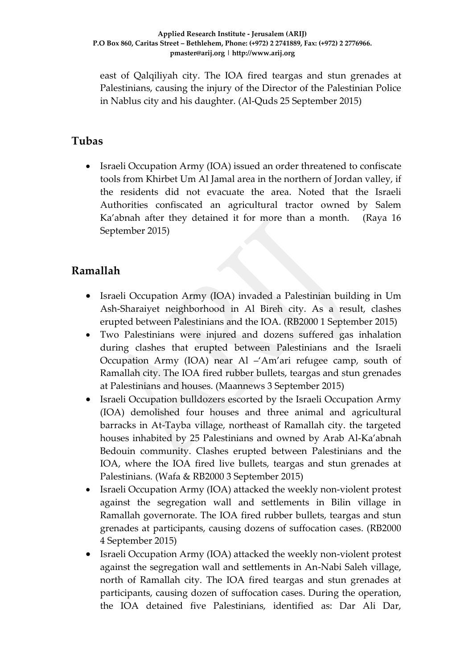east of Qalqiliyah city. The IOA fired teargas and stun grenades at Palestinians, causing the injury of the Director of the Palestinian Police in Nablus city and his daughter. (Al-Quds 25 September 2015)

### **Tubas**

• Israeli Occupation Army (IOA) issued an order threatened to confiscate tools from Khirbet Um Al Jamal area in the northern of Jordan valley, if the residents did not evacuate the area. Noted that the Israeli Authorities confiscated an agricultural tractor owned by Salem Ka'abnah after they detained it for more than a month. (Raya 16 September 2015)

### **Ramallah**

- Israeli Occupation Army (IOA) invaded a Palestinian building in Um Ash-Sharaiyet neighborhood in Al Bireh city. As a result, clashes erupted between Palestinians and the IOA. (RB2000 1 September 2015)
- Two Palestinians were injured and dozens suffered gas inhalation during clashes that erupted between Palestinians and the Israeli Occupation Army (IOA) near Al –'Am'ari refugee camp, south of Ramallah city. The IOA fired rubber bullets, teargas and stun grenades at Palestinians and houses. (Maannews 3 September 2015)
- Israeli Occupation bulldozers escorted by the Israeli Occupation Army (IOA) demolished four houses and three animal and agricultural barracks in At-Tayba village, northeast of Ramallah city. the targeted houses inhabited by 25 Palestinians and owned by Arab Al-Ka'abnah Bedouin community. Clashes erupted between Palestinians and the IOA, where the IOA fired live bullets, teargas and stun grenades at Palestinians. (Wafa & RB2000 3 September 2015)
- Israeli Occupation Army (IOA) attacked the weekly non-violent protest against the segregation wall and settlements in Bilin village in Ramallah governorate. The IOA fired rubber bullets, teargas and stun grenades at participants, causing dozens of suffocation cases. (RB2000 4 September 2015)
- Israeli Occupation Army (IOA) attacked the weekly non-violent protest against the segregation wall and settlements in An-Nabi Saleh village, north of Ramallah city. The IOA fired teargas and stun grenades at participants, causing dozen of suffocation cases. During the operation, the IOA detained five Palestinians, identified as: Dar Ali Dar,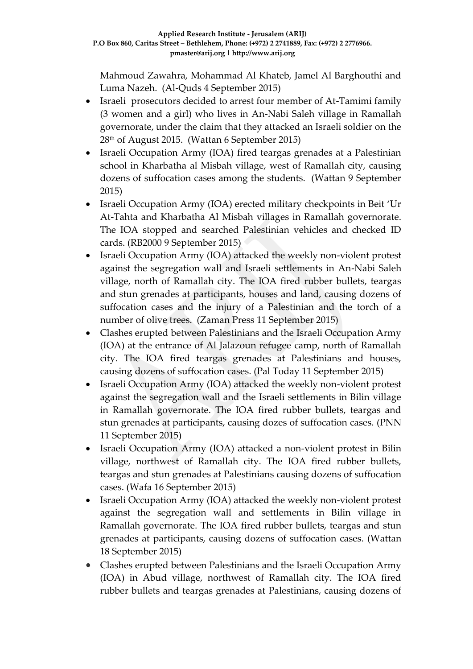Mahmoud Zawahra, Mohammad Al Khateb, Jamel Al Barghouthi and Luma Nazeh. (Al-Quds 4 September 2015)

- Israeli prosecutors decided to arrest four member of At-Tamimi family (3 women and a girl) who lives in An-Nabi Saleh village in Ramallah governorate, under the claim that they attacked an Israeli soldier on the 28th of August 2015. (Wattan 6 September 2015)
- Israeli Occupation Army (IOA) fired teargas grenades at a Palestinian school in Kharbatha al Misbah village, west of Ramallah city, causing dozens of suffocation cases among the students. (Wattan 9 September 2015)
- Israeli Occupation Army (IOA) erected military checkpoints in Beit 'Ur At-Tahta and Kharbatha Al Misbah villages in Ramallah governorate. The IOA stopped and searched Palestinian vehicles and checked ID cards. (RB2000 9 September 2015)
- Israeli Occupation Army (IOA) attacked the weekly non-violent protest against the segregation wall and Israeli settlements in An-Nabi Saleh village, north of Ramallah city. The IOA fired rubber bullets, teargas and stun grenades at participants, houses and land, causing dozens of suffocation cases and the injury of a Palestinian and the torch of a number of olive trees. (Zaman Press 11 September 2015)
- Clashes erupted between Palestinians and the Israeli Occupation Army (IOA) at the entrance of Al Jalazoun refugee camp, north of Ramallah city. The IOA fired teargas grenades at Palestinians and houses, causing dozens of suffocation cases. (Pal Today 11 September 2015)
- Israeli Occupation Army (IOA) attacked the weekly non-violent protest against the segregation wall and the Israeli settlements in Bilin village in Ramallah governorate. The IOA fired rubber bullets, teargas and stun grenades at participants, causing dozes of suffocation cases. (PNN 11 September 2015)
- Israeli Occupation Army (IOA) attacked a non-violent protest in Bilin village, northwest of Ramallah city. The IOA fired rubber bullets, teargas and stun grenades at Palestinians causing dozens of suffocation cases. (Wafa 16 September 2015)
- Israeli Occupation Army (IOA) attacked the weekly non-violent protest against the segregation wall and settlements in Bilin village in Ramallah governorate. The IOA fired rubber bullets, teargas and stun grenades at participants, causing dozens of suffocation cases. (Wattan 18 September 2015)
- Clashes erupted between Palestinians and the Israeli Occupation Army (IOA) in Abud village, northwest of Ramallah city. The IOA fired rubber bullets and teargas grenades at Palestinians, causing dozens of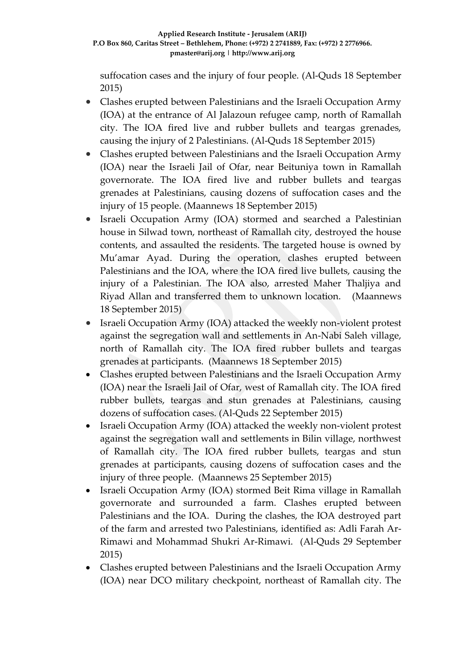suffocation cases and the injury of four people. (Al-Quds 18 September 2015)

- Clashes erupted between Palestinians and the Israeli Occupation Army (IOA) at the entrance of Al Jalazoun refugee camp, north of Ramallah city. The IOA fired live and rubber bullets and teargas grenades, causing the injury of 2 Palestinians. (Al-Quds 18 September 2015)
- Clashes erupted between Palestinians and the Israeli Occupation Army (IOA) near the Israeli Jail of Ofar, near Beituniya town in Ramallah governorate. The IOA fired live and rubber bullets and teargas grenades at Palestinians, causing dozens of suffocation cases and the injury of 15 people. (Maannews 18 September 2015)
- Israeli Occupation Army (IOA) stormed and searched a Palestinian house in Silwad town, northeast of Ramallah city, destroyed the house contents, and assaulted the residents. The targeted house is owned by Mu'amar Ayad. During the operation, clashes erupted between Palestinians and the IOA, where the IOA fired live bullets, causing the injury of a Palestinian. The IOA also, arrested Maher Thaljiya and Riyad Allan and transferred them to unknown location. (Maannews 18 September 2015)
- Israeli Occupation Army (IOA) attacked the weekly non-violent protest against the segregation wall and settlements in An-Nabi Saleh village, north of Ramallah city. The IOA fired rubber bullets and teargas grenades at participants. (Maannews 18 September 2015)
- Clashes erupted between Palestinians and the Israeli Occupation Army (IOA) near the Israeli Jail of Ofar, west of Ramallah city. The IOA fired rubber bullets, teargas and stun grenades at Palestinians, causing dozens of suffocation cases. (Al-Quds 22 September 2015)
- Israeli Occupation Army (IOA) attacked the weekly non-violent protest against the segregation wall and settlements in Bilin village, northwest of Ramallah city. The IOA fired rubber bullets, teargas and stun grenades at participants, causing dozens of suffocation cases and the injury of three people. (Maannews 25 September 2015)
- Israeli Occupation Army (IOA) stormed Beit Rima village in Ramallah governorate and surrounded a farm. Clashes erupted between Palestinians and the IOA. During the clashes, the IOA destroyed part of the farm and arrested two Palestinians, identified as: Adli Farah Ar-Rimawi and Mohammad Shukri Ar-Rimawi. (Al-Quds 29 September 2015)
- Clashes erupted between Palestinians and the Israeli Occupation Army (IOA) near DCO military checkpoint, northeast of Ramallah city. The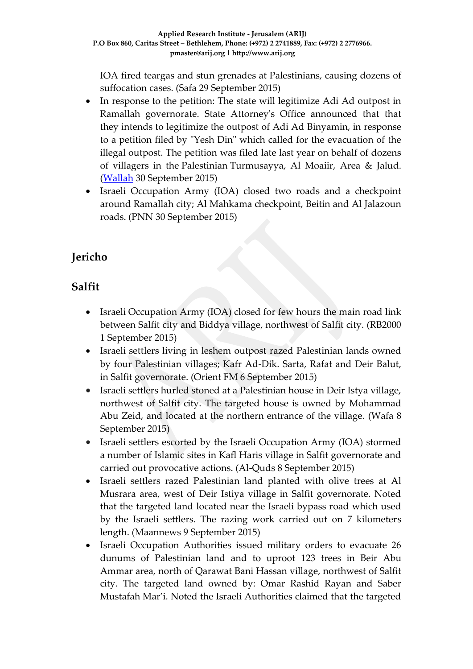IOA fired teargas and stun grenades at Palestinians, causing dozens of suffocation cases. (Safa 29 September 2015)

- In response to the petition: The state will legitimize Adi Ad outpost in Ramallah governorate. State Attorney's Office announced that that they intends to legitimize the outpost of Adi Ad Binyamin, in response to a petition filed by "Yesh Din" which called for the evacuation of the illegal outpost. The petition was filed late last year on behalf of dozens of villagers in the [Palestinian](http://tags.walla.co.il/%D7%A4%D7%9C%D7%A1%D7%98%D7%99%D7%A0%D7%99%D7%9D) [Turmusayya, Al Moaiir, Area & Jalud.](http://tags.walla.co.il/%D7%AA%D7%95%D7%A8%D7%9E%D7%95%D7%A1_%D7%A2%D7%99%D7%90) [\(Wallah](http://news.walla.co.il/item/2893409) 30 September 2015)
- Israeli Occupation Army (IOA) closed two roads and a checkpoint around Ramallah city; Al Mahkama checkpoint, Beitin and Al Jalazoun roads. (PNN 30 September 2015)

## **Jericho**

## **Salfit**

- Israeli Occupation Army (IOA) closed for few hours the main road link between Salfit city and Biddya village, northwest of Salfit city. (RB2000 1 September 2015)
- Israeli settlers living in leshem outpost razed Palestinian lands owned by four Palestinian villages; Kafr Ad-Dik. Sarta, Rafat and Deir Balut, in Salfit governorate. (Orient FM 6 September 2015)
- Israeli settlers hurled stoned at a Palestinian house in Deir Istya village, northwest of Salfit city. The targeted house is owned by Mohammad Abu Zeid, and located at the northern entrance of the village. (Wafa 8 September 2015)
- Israeli settlers escorted by the Israeli Occupation Army (IOA) stormed a number of Islamic sites in Kafl Haris village in Salfit governorate and carried out provocative actions. (Al-Quds 8 September 2015)
- Israeli settlers razed Palestinian land planted with olive trees at Al Musrara area, west of Deir Istiya village in Salfit governorate. Noted that the targeted land located near the Israeli bypass road which used by the Israeli settlers. The razing work carried out on 7 kilometers length. (Maannews 9 September 2015)
- Israeli Occupation Authorities issued military orders to evacuate 26 dunums of Palestinian land and to uproot 123 trees in Beir Abu Ammar area, north of Qarawat Bani Hassan village, northwest of Salfit city. The targeted land owned by: Omar Rashid Rayan and Saber Mustafah Mar'i. Noted the Israeli Authorities claimed that the targeted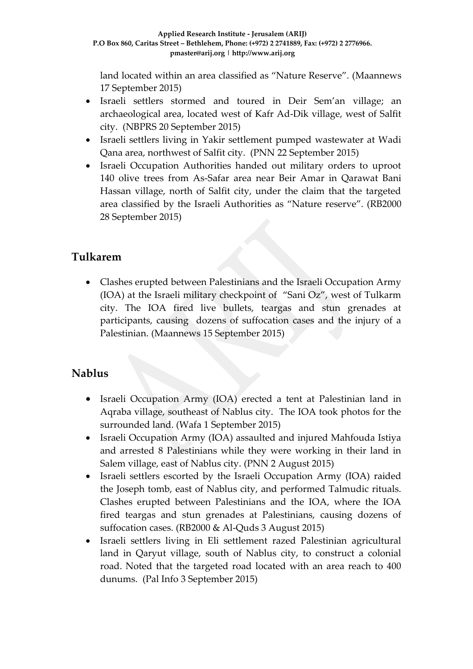land located within an area classified as "Nature Reserve". (Maannews 17 September 2015)

- Israeli settlers stormed and toured in Deir Sem'an village; an archaeological area, located west of Kafr Ad-Dik village, west of Salfit city. (NBPRS 20 September 2015)
- Israeli settlers living in Yakir settlement pumped wastewater at Wadi Qana area, northwest of Salfit city. (PNN 22 September 2015)
- Israeli Occupation Authorities handed out military orders to uproot 140 olive trees from As-Safar area near Beir Amar in Qarawat Bani Hassan village, north of Salfit city, under the claim that the targeted area classified by the Israeli Authorities as "Nature reserve". (RB2000 28 September 2015)

## **Tulkarem**

 Clashes erupted between Palestinians and the Israeli Occupation Army (IOA) at the Israeli military checkpoint of "Sani Oz", west of Tulkarm city. The IOA fired live bullets, teargas and stun grenades at participants, causing dozens of suffocation cases and the injury of a Palestinian. (Maannews 15 September 2015)

## **Nablus**

- Israeli Occupation Army (IOA) erected a tent at Palestinian land in Aqraba village, southeast of Nablus city. The IOA took photos for the surrounded land. (Wafa 1 September 2015)
- Israeli Occupation Army (IOA) assaulted and injured Mahfouda Istiya and arrested 8 Palestinians while they were working in their land in Salem village, east of Nablus city. (PNN 2 August 2015)
- Israeli settlers escorted by the Israeli Occupation Army (IOA) raided the Joseph tomb, east of Nablus city, and performed Talmudic rituals. Clashes erupted between Palestinians and the IOA, where the IOA fired teargas and stun grenades at Palestinians, causing dozens of suffocation cases. (RB2000 & Al-Quds 3 August 2015)
- Israeli settlers living in Eli settlement razed Palestinian agricultural land in Qaryut village, south of Nablus city, to construct a colonial road. Noted that the targeted road located with an area reach to 400 dunums. (Pal Info 3 September 2015)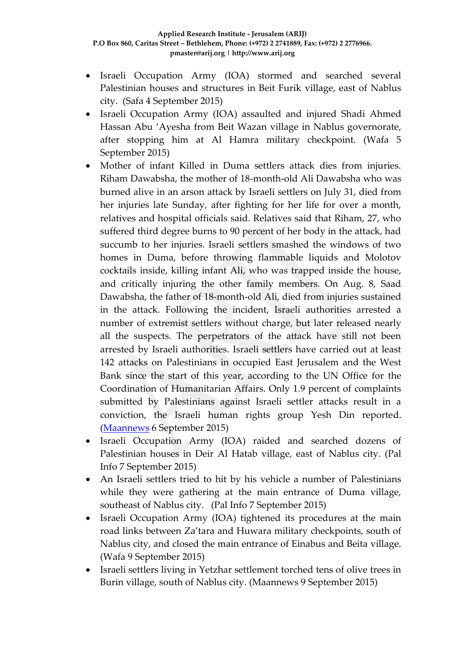- Israeli Occupation Army (IOA) stormed and searched several Palestinian houses and structures in Beit Furik village, east of Nablus city. (Safa 4 September 2015)
- Israeli Occupation Army (IOA) assaulted and injured Shadi Ahmed Hassan Abu 'Ayesha from Beit Wazan village in Nablus governorate, after stopping him at Al Hamra military checkpoint. (Wafa 5 September 2015)
- Mother of infant Killed in Duma settlers attack dies from injuries. Riham Dawabsha, the mother of 18-month-old Ali Dawabsha who was burned alive in an arson attack by Israeli settlers on July 31, died from her injuries late Sunday, after fighting for her life for over a month, relatives and hospital officials said. Relatives said that Riham, 27, who suffered third degree burns to 90 percent of her body in the attack, had succumb to her injuries. Israeli settlers smashed the windows of two homes in Duma, before throwing flammable liquids and Molotov cocktails inside, killing infant Ali, who was trapped inside the house, and critically injuring the other family members. On Aug. 8, Saad Dawabsha, the father of 18-month-old Ali, died from injuries sustained in the attack. Following the incident, Israeli authorities arrested a number of extremist settlers without charge, but later released nearly all the suspects. The perpetrators of the attack have still not been arrested by Israeli authorities. Israeli settlers have carried out at least 142 attacks on Palestinians in occupied East Jerusalem and the West Bank since the start of this year, according to the UN Office for the Coordination of Humanitarian Affairs. Only 1.9 percent of complaints submitted by Palestinians against Israeli settler attacks result in a conviction, the Israeli human rights group Yesh Din reported. [\(Maannews](http://www.maannews.com/Content.aspx?id=767474) 6 September 2015)
- Israeli Occupation Army (IOA) raided and searched dozens of Palestinian houses in Deir Al Hatab village, east of Nablus city. (Pal Info 7 September 2015)
- An Israeli settlers tried to hit by his vehicle a number of Palestinians while they were gathering at the main entrance of Duma village, southeast of Nablus city. (Pal Info 7 September 2015)
- Israeli Occupation Army (IOA) tightened its procedures at the main road links between Za'tara and Huwara military checkpoints, south of Nablus city, and closed the main entrance of Einabus and Beita village. (Wafa 9 September 2015)
- Israeli settlers living in Yetzhar settlement torched tens of olive trees in Burin village, south of Nablus city. (Maannews 9 September 2015)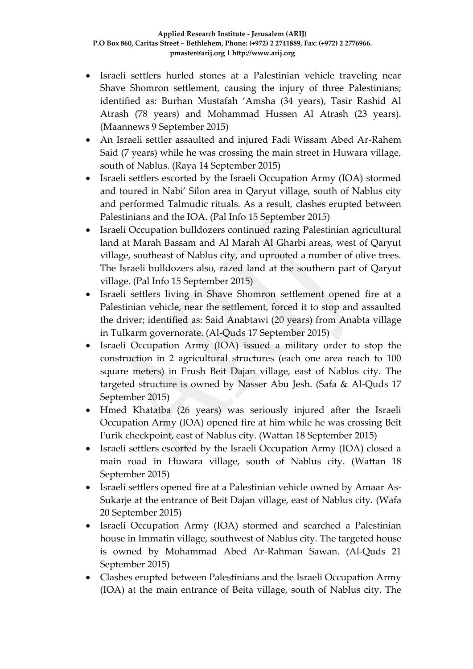- Israeli settlers hurled stones at a Palestinian vehicle traveling near Shave Shomron settlement, causing the injury of three Palestinians; identified as: Burhan Mustafah 'Amsha (34 years), Tasir Rashid Al Atrash (78 years) and Mohammad Hussen Al Atrash (23 years). (Maannews 9 September 2015)
- An Israeli settler assaulted and injured Fadi Wissam Abed Ar-Rahem Said (7 years) while he was crossing the main street in Huwara village, south of Nablus. (Raya 14 September 2015)
- Israeli settlers escorted by the Israeli Occupation Army (IOA) stormed and toured in Nabi' Silon area in Qaryut village, south of Nablus city and performed Talmudic rituals. As a result, clashes erupted between Palestinians and the IOA. (Pal Info 15 September 2015)
- Israeli Occupation bulldozers continued razing Palestinian agricultural land at Marah Bassam and Al Marah Al Gharbi areas, west of Qaryut village, southeast of Nablus city, and uprooted a number of olive trees. The Israeli bulldozers also, razed land at the southern part of Qaryut village. (Pal Info 15 September 2015)
- Israeli settlers living in Shave Shomron settlement opened fire at a Palestinian vehicle, near the settlement, forced it to stop and assaulted the driver; identified as: Said Anabtawi (20 years) from Anabta village in Tulkarm governorate. (Al-Quds 17 September 2015)
- Israeli Occupation Army (IOA) issued a military order to stop the construction in 2 agricultural structures (each one area reach to 100 square meters) in Frush Beit Dajan village, east of Nablus city. The targeted structure is owned by Nasser Abu Jesh. (Safa & Al-Quds 17 September 2015)
- Hmed Khatatba (26 years) was seriously injured after the Israeli Occupation Army (IOA) opened fire at him while he was crossing Beit Furik checkpoint, east of Nablus city. (Wattan 18 September 2015)
- Israeli settlers escorted by the Israeli Occupation Army (IOA) closed a main road in Huwara village, south of Nablus city. (Wattan 18 September 2015)
- Israeli settlers opened fire at a Palestinian vehicle owned by Amaar As-Sukarje at the entrance of Beit Dajan village, east of Nablus city. (Wafa 20 September 2015)
- Israeli Occupation Army (IOA) stormed and searched a Palestinian house in Immatin village, southwest of Nablus city. The targeted house is owned by Mohammad Abed Ar-Rahman Sawan. (Al-Quds 21 September 2015)
- Clashes erupted between Palestinians and the Israeli Occupation Army (IOA) at the main entrance of Beita village, south of Nablus city. The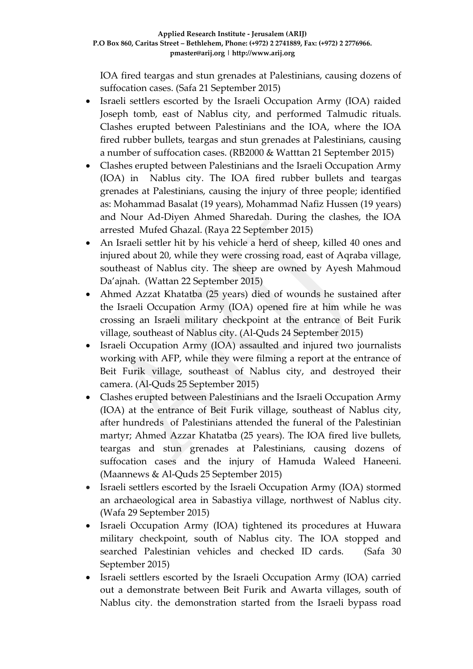IOA fired teargas and stun grenades at Palestinians, causing dozens of suffocation cases. (Safa 21 September 2015)

- Israeli settlers escorted by the Israeli Occupation Army (IOA) raided Joseph tomb, east of Nablus city, and performed Talmudic rituals. Clashes erupted between Palestinians and the IOA, where the IOA fired rubber bullets, teargas and stun grenades at Palestinians, causing a number of suffocation cases. (RB2000 & Watttan 21 September 2015)
- Clashes erupted between Palestinians and the Israeli Occupation Army (IOA) in Nablus city. The IOA fired rubber bullets and teargas grenades at Palestinians, causing the injury of three people; identified as: Mohammad Basalat (19 years), Mohammad Nafiz Hussen (19 years) and Nour Ad-Diyen Ahmed Sharedah. During the clashes, the IOA arrested Mufed Ghazal. (Raya 22 September 2015)
- An Israeli settler hit by his vehicle a herd of sheep, killed 40 ones and injured about 20, while they were crossing road, east of Aqraba village, southeast of Nablus city. The sheep are owned by Ayesh Mahmoud Da'ajnah. (Wattan 22 September 2015)
- Ahmed Azzat Khatatba (25 years) died of wounds he sustained after the Israeli Occupation Army (IOA) opened fire at him while he was crossing an Israeli military checkpoint at the entrance of Beit Furik village, southeast of Nablus city. (Al-Quds 24 September 2015)
- Israeli Occupation Army (IOA) assaulted and injured two journalists working with AFP, while they were filming a report at the entrance of Beit Furik village, southeast of Nablus city, and destroyed their camera. (Al-Quds 25 September 2015)
- Clashes erupted between Palestinians and the Israeli Occupation Army (IOA) at the entrance of Beit Furik village, southeast of Nablus city, after hundreds of Palestinians attended the funeral of the Palestinian martyr; Ahmed Azzar Khatatba (25 years). The IOA fired live bullets, teargas and stun grenades at Palestinians, causing dozens of suffocation cases and the injury of Hamuda Waleed Haneeni. (Maannews & Al-Quds 25 September 2015)
- Israeli settlers escorted by the Israeli Occupation Army (IOA) stormed an archaeological area in Sabastiya village, northwest of Nablus city. (Wafa 29 September 2015)
- Israeli Occupation Army (IOA) tightened its procedures at Huwara military checkpoint, south of Nablus city. The IOA stopped and searched Palestinian vehicles and checked ID cards. (Safa 30 September 2015)
- Israeli settlers escorted by the Israeli Occupation Army (IOA) carried out a demonstrate between Beit Furik and Awarta villages, south of Nablus city. the demonstration started from the Israeli bypass road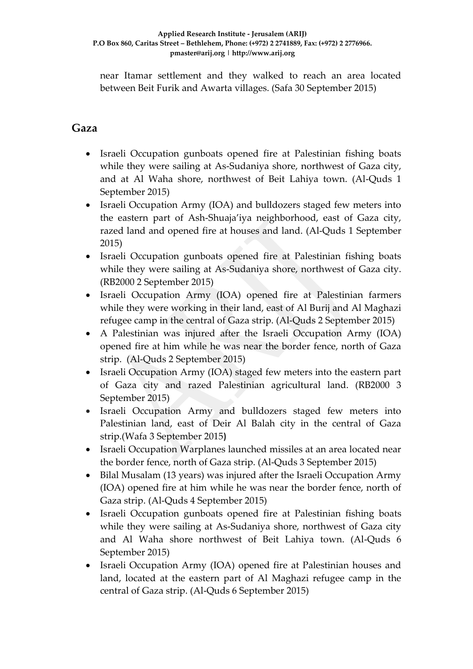near Itamar settlement and they walked to reach an area located between Beit Furik and Awarta villages. (Safa 30 September 2015)

### **Gaza**

- Israeli Occupation gunboats opened fire at Palestinian fishing boats while they were sailing at As-Sudaniya shore, northwest of Gaza city, and at Al Waha shore, northwest of Beit Lahiya town. (Al-Quds 1 September 2015)
- Israeli Occupation Army (IOA) and bulldozers staged few meters into the eastern part of Ash-Shuaja'iya neighborhood, east of Gaza city, razed land and opened fire at houses and land. (Al-Quds 1 September 2015)
- Israeli Occupation gunboats opened fire at Palestinian fishing boats while they were sailing at As-Sudaniya shore, northwest of Gaza city. (RB2000 2 September 2015)
- Israeli Occupation Army (IOA) opened fire at Palestinian farmers while they were working in their land, east of Al Burij and Al Maghazi refugee camp in the central of Gaza strip. (Al-Quds 2 September 2015)
- A Palestinian was injured after the Israeli Occupation Army (IOA) opened fire at him while he was near the border fence, north of Gaza strip. (Al-Quds 2 September 2015)
- Israeli Occupation Army (IOA) staged few meters into the eastern part of Gaza city and razed Palestinian agricultural land. (RB2000 3 September 2015)
- Israeli Occupation Army and bulldozers staged few meters into Palestinian land, east of Deir Al Balah city in the central of Gaza strip.(Wafa 3 September 2015**)**
- Israeli Occupation Warplanes launched missiles at an area located near the border fence, north of Gaza strip. (Al-Quds 3 September 2015)
- Bilal Musalam (13 years) was injured after the Israeli Occupation Army (IOA) opened fire at him while he was near the border fence, north of Gaza strip. (Al-Quds 4 September 2015)
- Israeli Occupation gunboats opened fire at Palestinian fishing boats while they were sailing at As-Sudaniya shore, northwest of Gaza city and Al Waha shore northwest of Beit Lahiya town. (Al-Quds 6 September 2015)
- Israeli Occupation Army (IOA) opened fire at Palestinian houses and land, located at the eastern part of Al Maghazi refugee camp in the central of Gaza strip. (Al-Quds 6 September 2015)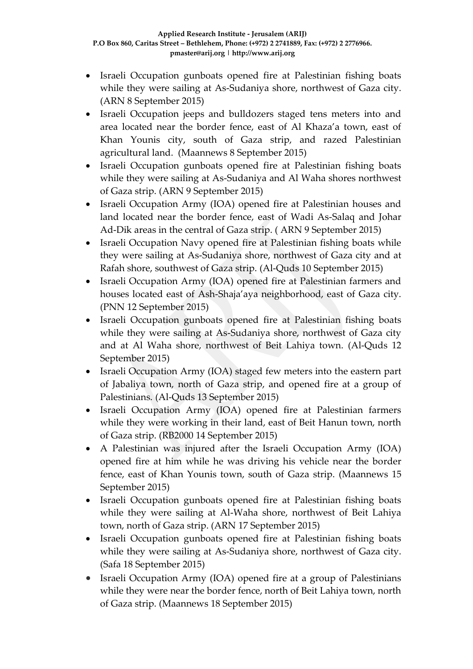- Israeli Occupation gunboats opened fire at Palestinian fishing boats while they were sailing at As-Sudaniya shore, northwest of Gaza city. (ARN 8 September 2015)
- Israeli Occupation jeeps and bulldozers staged tens meters into and area located near the border fence, east of Al Khaza'a town, east of Khan Younis city, south of Gaza strip, and razed Palestinian agricultural land. (Maannews 8 September 2015)
- Israeli Occupation gunboats opened fire at Palestinian fishing boats while they were sailing at As-Sudaniya and Al Waha shores northwest of Gaza strip. (ARN 9 September 2015)
- Israeli Occupation Army (IOA) opened fire at Palestinian houses and land located near the border fence, east of Wadi As-Salaq and Johar Ad-Dik areas in the central of Gaza strip. ( ARN 9 September 2015)
- Israeli Occupation Navy opened fire at Palestinian fishing boats while they were sailing at As-Sudaniya shore, northwest of Gaza city and at Rafah shore, southwest of Gaza strip. (Al-Quds 10 September 2015)
- Israeli Occupation Army (IOA) opened fire at Palestinian farmers and houses located east of Ash-Shaja'aya neighborhood, east of Gaza city. (PNN 12 September 2015)
- Israeli Occupation gunboats opened fire at Palestinian fishing boats while they were sailing at As-Sudaniya shore, northwest of Gaza city and at Al Waha shore, northwest of Beit Lahiya town. (Al-Quds 12 September 2015)
- Israeli Occupation Army (IOA) staged few meters into the eastern part of Jabaliya town, north of Gaza strip, and opened fire at a group of Palestinians. (Al-Quds 13 September 2015)
- Israeli Occupation Army (IOA) opened fire at Palestinian farmers while they were working in their land, east of Beit Hanun town, north of Gaza strip. (RB2000 14 September 2015)
- A Palestinian was injured after the Israeli Occupation Army (IOA) opened fire at him while he was driving his vehicle near the border fence, east of Khan Younis town, south of Gaza strip. (Maannews 15 September 2015)
- Israeli Occupation gunboats opened fire at Palestinian fishing boats while they were sailing at Al-Waha shore, northwest of Beit Lahiya town, north of Gaza strip. (ARN 17 September 2015)
- Israeli Occupation gunboats opened fire at Palestinian fishing boats while they were sailing at As-Sudaniya shore, northwest of Gaza city. (Safa 18 September 2015)
- Israeli Occupation Army (IOA) opened fire at a group of Palestinians while they were near the border fence, north of Beit Lahiya town, north of Gaza strip. (Maannews 18 September 2015)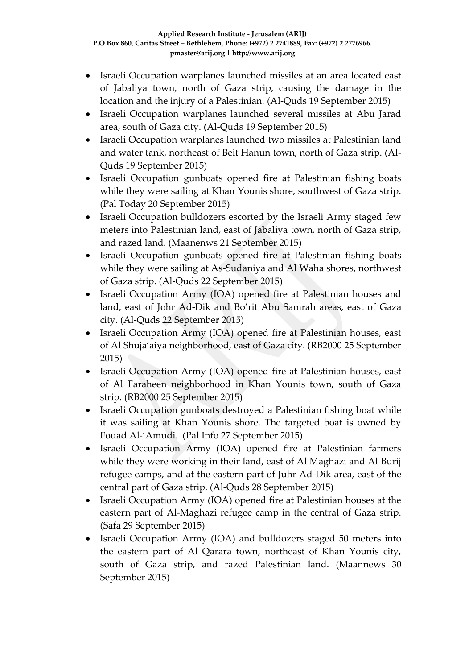- Israeli Occupation warplanes launched missiles at an area located east of Jabaliya town, north of Gaza strip, causing the damage in the location and the injury of a Palestinian. (Al-Quds 19 September 2015)
- Israeli Occupation warplanes launched several missiles at Abu Jarad area, south of Gaza city. (Al-Quds 19 September 2015)
- Israeli Occupation warplanes launched two missiles at Palestinian land and water tank, northeast of Beit Hanun town, north of Gaza strip. (Al-Quds 19 September 2015)
- Israeli Occupation gunboats opened fire at Palestinian fishing boats while they were sailing at Khan Younis shore, southwest of Gaza strip. (Pal Today 20 September 2015)
- Israeli Occupation bulldozers escorted by the Israeli Army staged few meters into Palestinian land, east of Jabaliya town, north of Gaza strip, and razed land. (Maanenws 21 September 2015)
- Israeli Occupation gunboats opened fire at Palestinian fishing boats while they were sailing at As-Sudaniya and Al Waha shores, northwest of Gaza strip. (Al-Quds 22 September 2015)
- Israeli Occupation Army (IOA) opened fire at Palestinian houses and land, east of Johr Ad-Dik and Bo'rit Abu Samrah areas, east of Gaza city. (Al-Quds 22 September 2015)
- Israeli Occupation Army (IOA) opened fire at Palestinian houses, east of Al Shuja'aiya neighborhood, east of Gaza city. (RB2000 25 September 2015)
- Israeli Occupation Army (IOA) opened fire at Palestinian houses, east of Al Faraheen neighborhood in Khan Younis town, south of Gaza strip. (RB2000 25 September 2015)
- Israeli Occupation gunboats destroyed a Palestinian fishing boat while it was sailing at Khan Younis shore. The targeted boat is owned by Fouad Al-'Amudi. (Pal Info 27 September 2015)
- Israeli Occupation Army (IOA) opened fire at Palestinian farmers while they were working in their land, east of Al Maghazi and Al Burij refugee camps, and at the eastern part of Juhr Ad-Dik area, east of the central part of Gaza strip. (Al-Quds 28 September 2015)
- Israeli Occupation Army (IOA) opened fire at Palestinian houses at the eastern part of Al-Maghazi refugee camp in the central of Gaza strip. (Safa 29 September 2015)
- Israeli Occupation Army (IOA) and bulldozers staged 50 meters into the eastern part of Al Qarara town, northeast of Khan Younis city, south of Gaza strip, and razed Palestinian land. (Maannews 30 September 2015)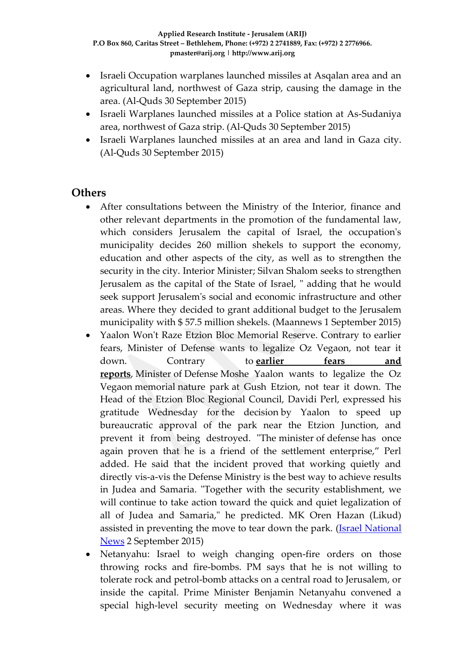- Israeli Occupation warplanes launched missiles at Asqalan area and an agricultural land, northwest of Gaza strip, causing the damage in the area. (Al-Quds 30 September 2015)
- Israeli Warplanes launched missiles at a Police station at As-Sudaniya area, northwest of Gaza strip. (Al-Quds 30 September 2015)
- Israeli Warplanes launched missiles at an area and land in Gaza city. (Al-Quds 30 September 2015)

### **Others**

- After consultations between the Ministry of the Interior, finance and other relevant departments in the promotion of the fundamental law, which considers Jerusalem the capital of Israel, the occupation's municipality decides 260 million shekels to support the economy, education and other aspects of the city, as well as to strengthen the security in the city. Interior Minister; Silvan Shalom seeks to strengthen Jerusalem as the capital of the State of Israel, " adding that he would seek support Jerusalem's social and economic infrastructure and other areas. Where they decided to grant additional budget to the Jerusalem municipality with \$ 57.5 million shekels. (Maannews 1 September 2015)
- Yaalon Won't Raze Etzion Bloc Memorial Reserve. Contrary to earlier fears, Minister of Defense wants to legalize Oz Vegaon, not tear it down. Contrary to **[earlier fears and](http://www.israelnationalnews.com/News/News.aspx/200158)  [reports](http://www.israelnationalnews.com/News/News.aspx/200158)**, Minister of Defense Moshe Yaalon wants to legalize the Oz Vegaon memorial nature park at Gush Etzion, not tear it down. The Head of the Etzion Bloc Regional Council, Davidi Perl, expressed his gratitude Wednesday for the decision by Yaalon to speed up bureaucratic approval of the park near the Etzion Junction, and prevent it from being destroyed. "The minister of defense has once again proven that he is a friend of the settlement enterprise," Perl added. He said that the incident proved that working quietly and directly vis-a-vis the Defense Ministry is the best way to achieve results in Judea and Samaria. "Together with the security establishment, we will continue to take action toward the quick and quiet legalization of all of Judea and Samaria," he predicted. MK Oren Hazan (Likud) assisted in preventing the move to tear down the park. (Israel National [News](http://www.israelnationalnews.com/News/News.aspx/200205#.Vebjavmqqko) 2 September 2015)
- Netanyahu: Israel to weigh changing open-fire orders on those throwing rocks and fire-bombs. PM says that he is not willing to tolerate rock and petrol-bomb attacks on a central road to Jerusalem, or inside the capital. Prime Minister Benjamin Netanyahu convened a special high-level security meeting on Wednesday where it was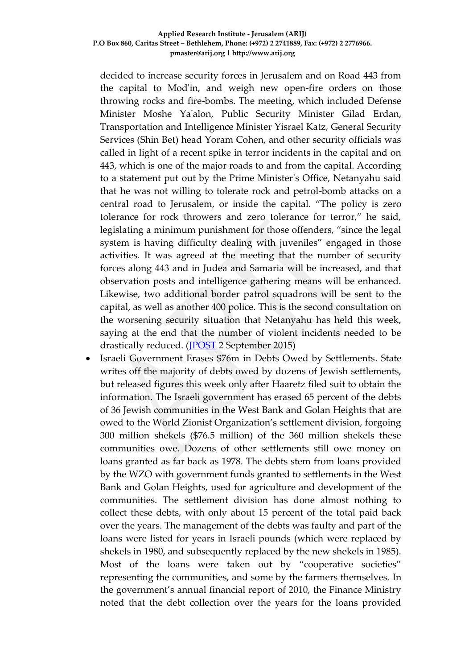decided to increase security forces in Jerusalem and on Road 443 from the capital to Mod'in, and weigh new open-fire orders on those throwing rocks and fire-bombs. The meeting, which included Defense Minister Moshe Ya'alon, Public Security Minister Gilad Erdan, Transportation and Intelligence Minister Yisrael Katz, General Security Services (Shin Bet) head Yoram Cohen, and other security officials was called in light of a recent spike in terror incidents in the capital and on 443, which is one of the major roads to and from the capital. According to a statement put out by the Prime Minister's Office, Netanyahu said that he was not willing to tolerate rock and petrol-bomb attacks on a central road to Jerusalem, or inside the capital. "The policy is zero tolerance for rock throwers and zero tolerance for terror," he said, legislating a minimum punishment for those offenders, "since the legal system is having difficulty dealing with juveniles" engaged in those activities. It was agreed at the meeting that the number of security forces along 443 and in Judea and Samaria will be increased, and that observation posts and intelligence gathering means will be enhanced. Likewise, two additional border patrol squadrons will be sent to the capital, as well as another 400 police. This is the second consultation on the worsening security situation that Netanyahu has held this week, saying at the end that the number of violent incidents needed to be drastically reduced. [\(JPOST](http://www.jpost.com/Arab-Israeli-Conflict/Netanyahu-Israel-to-weigh-changing-open-fire-orders-on-those-throwing-rocks-and-fire-bombs-414979) 2 September 2015)

 Israeli Government Erases \$76m in Debts Owed by Settlements. State writes off the majority of debts owed by dozens of Jewish settlements, but released figures this week only after Haaretz filed suit to obtain the information. The Israeli government has erased 65 percent of the debts of 36 Jewish communities in the West Bank and Golan Heights that are owed to the World Zionist Organization's settlement division, forgoing 300 million shekels (\$76.5 million) of the 360 million shekels these communities owe. Dozens of other settlements still owe money on loans granted as far back as 1978. The debts stem from loans provided by the WZO with government funds granted to settlements in the West Bank and Golan Heights, used for agriculture and development of the communities. The settlement division has done almost nothing to collect these debts, with only about 15 percent of the total paid back over the years. The management of the debts was faulty and part of the loans were listed for years in Israeli pounds (which were replaced by shekels in 1980, and subsequently replaced by the new shekels in 1985). Most of the loans were taken out by "cooperative societies" representing the communities, and some by the farmers themselves. In the government's annual financial report of 2010, the Finance Ministry noted that the debt collection over the years for the loans provided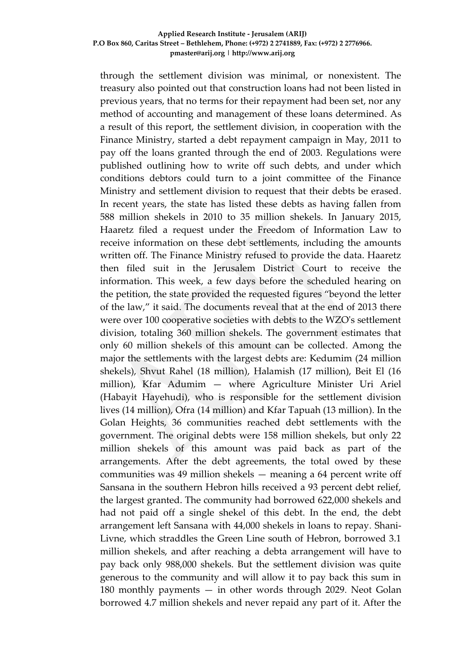through the settlement division was minimal, or nonexistent. The treasury also pointed out that construction loans had not been listed in previous years, that no terms for their repayment had been set, nor any method of accounting and management of these loans determined. As a result of this report, the settlement division, in cooperation with the Finance Ministry, started a debt repayment campaign in May, 2011 to pay off the loans granted through the end of 2003. Regulations were published outlining how to write off such debts, and under which conditions debtors could turn to a joint committee of the Finance Ministry and settlement division to request that their debts be erased. In recent years, the state has listed these debts as having fallen from 588 million shekels in 2010 to 35 million shekels. In January 2015, Haaretz filed a request under the Freedom of Information Law to receive information on these debt settlements, including the amounts written off. The Finance Ministry refused to provide the data. Haaretz then filed suit in the Jerusalem District Court to receive the information. This week, a few days before the scheduled hearing on the petition, the state provided the requested figures "beyond the letter of the law," it said. The documents reveal that at the end of 2013 there were over 100 cooperative societies with debts to the WZO's settlement division, totaling 360 million shekels. The government estimates that only 60 million shekels of this amount can be collected. Among the major the settlements with the largest debts are: Kedumim (24 million shekels), Shvut Rahel (18 million), Halamish (17 million), Beit El (16 million), Kfar Adumim — where Agriculture Minister Uri Ariel (Habayit Hayehudi), who is responsible for the settlement division lives (14 million), Ofra (14 million) and Kfar Tapuah (13 million). In the Golan Heights, 36 communities reached debt settlements with the government. The original debts were 158 million shekels, but only 22 million shekels of this amount was paid back as part of the arrangements. After the debt agreements, the total owed by these communities was 49 million shekels — meaning a 64 percent write off Sansana in the southern Hebron hills received a 93 percent debt relief, the largest granted. The community had borrowed 622,000 shekels and had not paid off a single shekel of this debt. In the end, the debt arrangement left Sansana with 44,000 shekels in loans to repay. Shani-Livne, which straddles the Green Line south of Hebron, borrowed 3.1 million shekels, and after reaching a debta arrangement will have to pay back only 988,000 shekels. But the settlement division was quite generous to the community and will allow it to pay back this sum in 180 monthly payments — in other words through 2029. Neot Golan borrowed 4.7 million shekels and never repaid any part of it. After the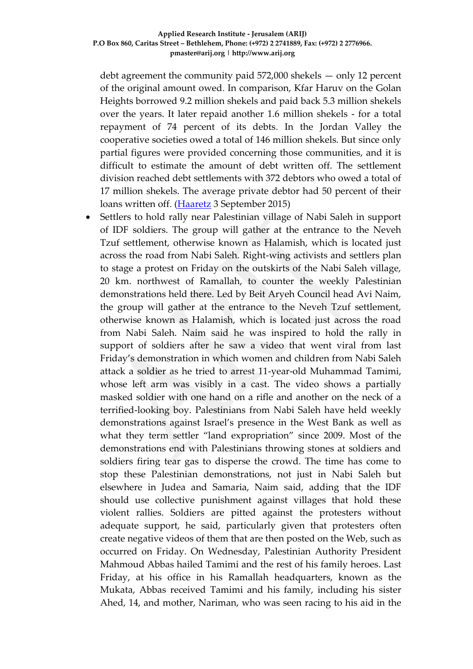debt agreement the community paid 572,000 shekels — only 12 percent of the original amount owed. In comparison, Kfar Haruv on the Golan Heights borrowed 9.2 million shekels and paid back 5.3 million shekels over the years. It later repaid another 1.6 million shekels - for a total repayment of 74 percent of its debts. In the Jordan Valley the cooperative societies owed a total of 146 million shekels. But since only partial figures were provided concerning those communities, and it is difficult to estimate the amount of debt written off. The settlement division reached debt settlements with 372 debtors who owed a total of 17 million shekels. The average private debtor had 50 percent of their loans written off. [\(Haaretz](http://www.haaretz.com/news/diplomacy-defense/.premium-1.674139) 3 September 2015)

 Settlers to hold rally near Palestinian village of Nabi Saleh in support of IDF soldiers. The group will gather at the entrance to the Neveh Tzuf settlement, otherwise known as Halamish, which is located just across the road from Nabi Saleh. Right-wing activists and settlers plan to stage a protest on Friday on the outskirts of the Nabi Saleh village, 20 km. northwest of Ramallah, to counter the weekly Palestinian demonstrations held there. Led by Beit Aryeh Council head Avi Naim, the group will gather at the entrance to the Neveh Tzuf settlement, otherwise known as Halamish, which is located just across the road from Nabi Saleh. Naim said he was inspired to hold the rally in support of soldiers after he saw a video that went viral from last Friday's demonstration in which women and children from Nabi Saleh attack a soldier as he tried to arrest 11-year-old Muhammad Tamimi, whose left arm was visibly in a cast. The video shows a partially masked soldier with one hand on a rifle and another on the neck of a terrified-looking boy. Palestinians from Nabi Saleh have held weekly demonstrations against Israel's presence in the West Bank as well as what they term settler "land expropriation" since 2009. Most of the demonstrations end with Palestinians throwing stones at soldiers and soldiers firing tear gas to disperse the crowd. The time has come to stop these Palestinian demonstrations, not just in Nabi Saleh but elsewhere in Judea and Samaria, Naim said, adding that the IDF should use collective punishment against villages that hold these violent rallies. Soldiers are pitted against the protesters without adequate support, he said, particularly given that protesters often create negative videos of them that are then posted on the Web, such as occurred on Friday. On Wednesday, Palestinian Authority President Mahmoud Abbas hailed Tamimi and the rest of his family heroes. Last Friday, at his office in his Ramallah headquarters, known as the Mukata, Abbas received Tamimi and his family, including his sister Ahed, 14, and mother, Nariman, who was seen racing to his aid in the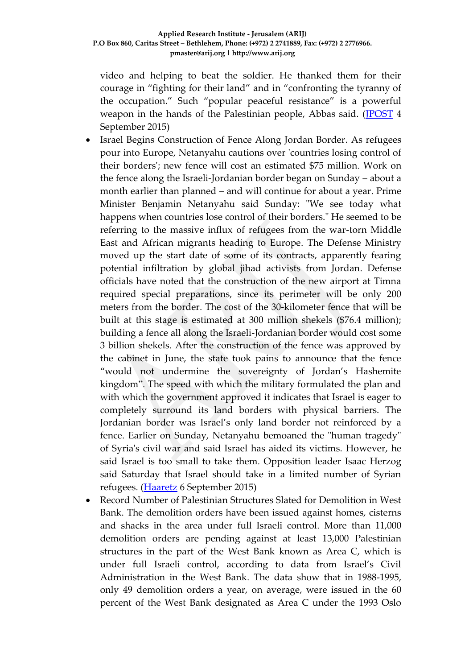video and helping to beat the soldier. He thanked them for their courage in "fighting for their land" and in "confronting the tyranny of the occupation." Such "popular peaceful resistance" is a powerful weapon in the hands of the Palestinian people, Abbas said. [\(JPOST](http://www.jpost.com/Arab-Israeli-Conflict/Settlers-to-hold-rally-near-Palestinian-village-in-support-of-IDF-soldiers-415234) 4 September 2015)

- Israel Begins Construction of Fence Along Jordan Border. As refugees pour into Europe, Netanyahu cautions over 'countries losing control of their borders'; new fence will cost an estimated \$75 million. Work on the fence along the Israeli-Jordanian border began on Sunday – about a month earlier than planned – and will continue for about a year. Prime Minister Benjamin Netanyahu said Sunday: "We see today what happens when countries lose control of their borders." He seemed to be referring to the massive influx of refugees from the war-torn Middle East and African migrants heading to Europe. The Defense Ministry moved up the start date of some of its contracts, apparently fearing potential infiltration by global jihad activists from Jordan. Defense officials have noted that the construction of the new airport at Timna required special preparations, since its perimeter will be only 200 meters from the border. The cost of the 30-kilometer fence that will be built at this stage is estimated at 300 million shekels (\$76.4 million); building a fence all along the Israeli-Jordanian border would cost some 3 billion shekels. After the construction of the fence was approved by the cabinet in June, the state took pains to announce that the fence "would not undermine the sovereignty of Jordan's Hashemite kingdom". The speed with which the military formulated the plan and with which the government approved it indicates that Israel is eager to completely surround its land borders with physical barriers. The Jordanian border was Israel's only land border not reinforced by a fence. Earlier on Sunday, Netanyahu bemoaned the "human tragedy" of Syria's civil war and said Israel has aided its victims. However, he said Israel is too small to take them. Opposition leader Isaac Herzog said Saturday that Israel should take in a limited number of Syrian refugees. [\(Haaretz](http://www.haaretz.com/news/diplomacy-defense/1.674830) 6 September 2015)
- Record Number of Palestinian Structures Slated for Demolition in West Bank. The demolition orders have been issued against homes, cisterns and shacks in the area under full Israeli control. More than 11,000 demolition orders are pending against at least 13,000 Palestinian structures in the part of the West Bank known as Area C, which is under full Israeli control, according to data from Israel's Civil Administration in the West Bank. The data show that in 1988-1995, only 49 demolition orders a year, on average, were issued in the 60 percent of the West Bank designated as Area C under the 1993 Oslo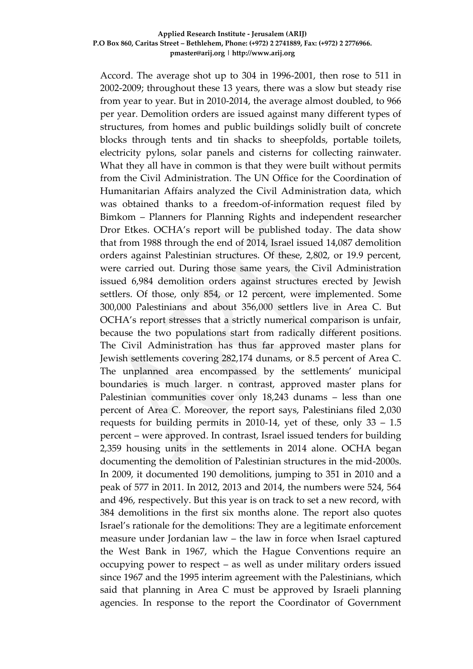Accord. The average shot up to 304 in 1996-2001, then rose to 511 in 2002-2009; throughout these 13 years, there was a slow but steady rise from year to year. But in 2010-2014, the average almost doubled, to 966 per year. Demolition orders are issued against many different types of structures, from homes and public buildings solidly built of concrete blocks through tents and tin shacks to sheepfolds, portable toilets, electricity pylons, solar panels and cisterns for collecting rainwater. What they all have in common is that they were built without permits from the Civil Administration. The UN Office for the Coordination of Humanitarian Affairs analyzed the Civil Administration data, which was obtained thanks to a freedom-of-information request filed by Bimkom – Planners for Planning Rights and independent researcher Dror Etkes. OCHA's report will be published today. The data show that from 1988 through the end of 2014, Israel issued 14,087 demolition orders against Palestinian structures. Of these, 2,802, or 19.9 percent, were carried out. During those same years, the Civil Administration issued 6,984 demolition orders against structures erected by Jewish settlers. Of those, only 854, or 12 percent, were implemented. Some 300,000 Palestinians and about 356,000 settlers live in Area C. But OCHA's report stresses that a strictly numerical comparison is unfair, because the two populations start from radically different positions. The Civil Administration has thus far approved master plans for Jewish settlements covering 282,174 dunams, or 8.5 percent of Area C. The unplanned area encompassed by the settlements' municipal boundaries is much larger. n contrast, approved master plans for Palestinian communities cover only 18,243 dunams – less than one percent of Area C. Moreover, the report says, Palestinians filed 2,030 requests for building permits in 2010-14, yet of these, only 33 – 1.5 percent – were approved. In contrast, Israel issued tenders for building 2,359 housing units in the settlements in 2014 alone. OCHA began documenting the demolition of Palestinian structures in the mid-2000s. In 2009, it documented 190 demolitions, jumping to 351 in 2010 and a peak of 577 in 2011. In 2012, 2013 and 2014, the numbers were 524, 564 and 496, respectively. But this year is on track to set a new record, with 384 demolitions in the first six months alone. The report also quotes Israel's rationale for the demolitions: They are a legitimate enforcement measure under Jordanian law – the law in force when Israel captured the West Bank in 1967, which the Hague Conventions require an occupying power to respect – as well as under military orders issued since 1967 and the 1995 interim agreement with the Palestinians, which said that planning in Area C must be approved by Israeli planning agencies. In response to the report the Coordinator of Government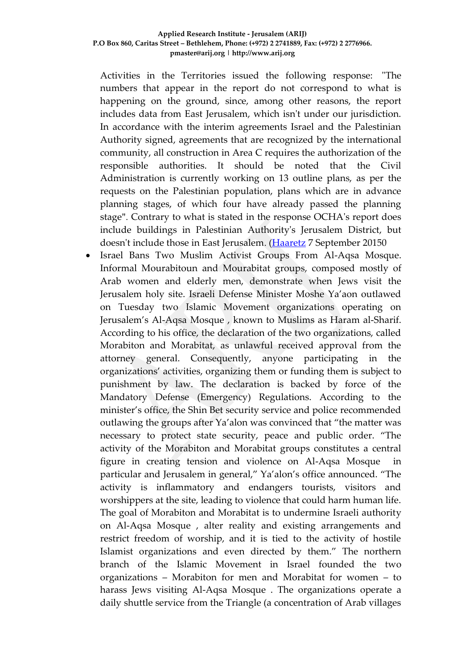Activities in the Territories issued the following response: "The numbers that appear in the report do not correspond to what is happening on the ground, since, among other reasons, the report includes data from East Jerusalem, which isn't under our jurisdiction. In accordance with the interim agreements Israel and the Palestinian Authority signed, agreements that are recognized by the international community, all construction in Area C requires the authorization of the responsible authorities. It should be noted that the Civil Administration is currently working on 13 outline plans, as per the requests on the Palestinian population, plans which are in advance planning stages, of which four have already passed the planning stage". Contrary to what is stated in the response OCHA's report does include buildings in Palestinian Authority's Jerusalem District, but doesn't include those in East Jerusalem. [\(Haaretz](http://www.haaretz.com/news/diplomacy-defense/1.674838) 7 September 20150

 Israel Bans Two Muslim Activist Groups From Al-Aqsa Mosque. Informal Mourabitoun and Mourabitat groups, composed mostly of Arab women and elderly men, demonstrate when Jews visit the Jerusalem holy site. Israeli Defense Minister Moshe Ya'aon outlawed on Tuesday two Islamic Movement organizations operating on Jerusalem's Al-Aqsa Mosque , known to Muslims as Haram al-Sharif. According to his office, the declaration of the two organizations, called Morabiton and Morabitat, as unlawful received approval from the attorney general. Consequently, anyone participating in the organizations' activities, organizing them or funding them is subject to punishment by law. The declaration is backed by force of the Mandatory Defense (Emergency) Regulations. According to the minister's office, the Shin Bet security service and police recommended outlawing the groups after Ya'alon was convinced that "the matter was necessary to protect state security, peace and public order. "The activity of the Morabiton and Morabitat groups constitutes a central figure in creating tension and violence on Al-Aqsa Mosque particular and Jerusalem in general," Ya'alon's office announced. "The activity is inflammatory and endangers tourists, visitors and worshippers at the site, leading to violence that could harm human life. The goal of Morabiton and Morabitat is to undermine Israeli authority on Al-Aqsa Mosque , alter reality and existing arrangements and restrict freedom of worship, and it is tied to the activity of hostile Islamist organizations and even directed by them." The northern branch of the Islamic Movement in Israel founded the two organizations – Morabiton for men and Morabitat for women – to harass Jews visiting Al-Aqsa Mosque . The organizations operate a daily shuttle service from the Triangle (a concentration of Arab villages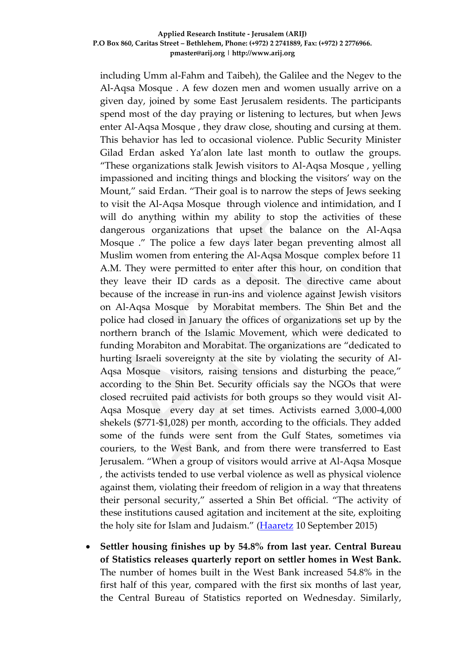including Umm al-Fahm and Taibeh), the Galilee and the Negev to the Al-Aqsa Mosque . A few dozen men and women usually arrive on a given day, joined by some East Jerusalem residents. The participants spend most of the day praying or listening to lectures, but when Jews enter Al-Aqsa Mosque , they draw close, shouting and cursing at them. This behavior has led to occasional violence. Public Security Minister Gilad Erdan asked Ya'alon late last month to outlaw the groups. "These organizations stalk Jewish visitors to Al-Aqsa Mosque , yelling impassioned and inciting things and blocking the visitors' way on the Mount," said Erdan. "Their goal is to narrow the steps of Jews seeking to visit the Al-Aqsa Mosque through violence and intimidation, and I will do anything within my ability to stop the activities of these dangerous organizations that upset the balance on the Al-Aqsa Mosque ." The police a few days later began preventing almost all Muslim women from entering the Al-Aqsa Mosque complex before 11 A.M. They were permitted to enter after this hour, on condition that they leave their ID cards as a deposit. The directive came about because of the increase in run-ins and violence against Jewish visitors on Al-Aqsa Mosque by Morabitat members. The Shin Bet and the police had closed in January the offices of organizations set up by the northern branch of the Islamic Movement, which were dedicated to funding Morabiton and Morabitat. The organizations are "dedicated to hurting Israeli sovereignty at the site by violating the security of Al-Aqsa Mosque visitors, raising tensions and disturbing the peace," according to the Shin Bet. Security officials say the NGOs that were closed recruited paid activists for both groups so they would visit Al-Aqsa Mosque every day at set times. Activists earned 3,000-4,000 shekels (\$771-\$1,028) per month, according to the officials. They added some of the funds were sent from the Gulf States, sometimes via couriers, to the West Bank, and from there were transferred to East Jerusalem. "When a group of visitors would arrive at Al-Aqsa Mosque , the activists tended to use verbal violence as well as physical violence against them, violating their freedom of religion in a way that threatens their personal security," asserted a Shin Bet official. "The activity of these institutions caused agitation and incitement at the site, exploiting the holy site for Islam and Judaism." [\(Haaretz](http://www.haaretz.com/news/diplomacy-defense/1.675329) 10 September 2015)

 **Settler housing finishes up by 54.8% from last year. Central Bureau of Statistics releases quarterly report on settler homes in West Bank.**  The number of homes built in the West Bank increased 54.8% in the first half of this year, compared with the first six months of last year, the Central Bureau of Statistics reported on Wednesday. Similarly,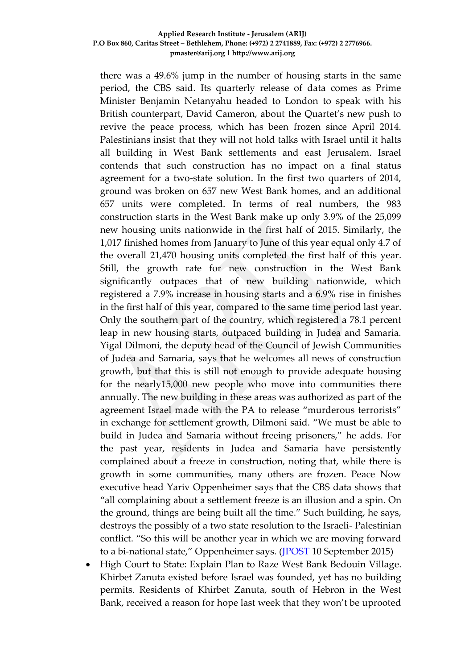there was a 49.6% jump in the number of housing starts in the same period, the CBS said. Its quarterly release of data comes as Prime Minister Benjamin Netanyahu headed to London to speak with his British counterpart, David Cameron, about the Quartet's new push to revive the peace process, which has been frozen since April 2014. Palestinians insist that they will not hold talks with Israel until it halts all building in West Bank settlements and east Jerusalem. Israel contends that such construction has no impact on a final status agreement for a two-state solution. In the first two quarters of 2014, ground was broken on 657 new West Bank homes, and an additional 657 units were completed. In terms of real numbers, the 983 construction starts in the West Bank make up only 3.9% of the 25,099 new housing units nationwide in the first half of 2015. Similarly, the 1,017 finished homes from January to June of this year equal only 4.7 of the overall 21,470 housing units completed the first half of this year. Still, the growth rate for new construction in the West Bank significantly outpaces that of new building nationwide, which registered a 7.9% increase in housing starts and a 6.9% rise in finishes in the first half of this year, compared to the same time period last year. Only the southern part of the country, which registered a 78.1 percent leap in new housing starts, outpaced building in Judea and Samaria. Yigal Dilmoni, the deputy head of the Council of Jewish Communities of Judea and Samaria, says that he welcomes all news of construction growth, but that this is still not enough to provide adequate housing for the nearly15,000 new people who move into communities there annually. The new building in these areas was authorized as part of the agreement Israel made with the PA to release "murderous terrorists" in exchange for settlement growth, Dilmoni said. "We must be able to build in Judea and Samaria without freeing prisoners," he adds. For the past year, residents in Judea and Samaria have persistently complained about a freeze in construction, noting that, while there is growth in some communities, many others are frozen. Peace Now executive head Yariv Oppenheimer says that the CBS data shows that "all complaining about a settlement freeze is an illusion and a spin. On the ground, things are being built all the time." Such building, he says, destroys the possibly of a two state resolution to the Israeli- Palestinian conflict. "So this will be another year in which we are moving forward to a bi-national state," Oppenheimer says. (IPOST 10 September 2015)

 High Court to State: Explain Plan to Raze West Bank Bedouin Village. Khirbet Zanuta existed before Israel was founded, yet has no building permits. Residents of Khirbet Zanuta, south of Hebron in the West Bank, received a reason for hope last week that they won't be uprooted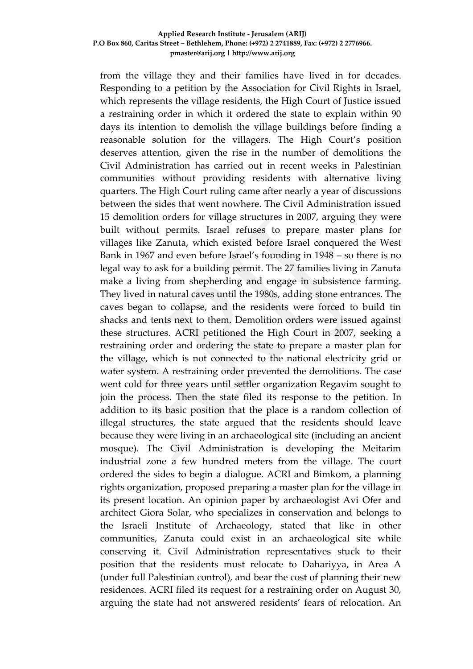from the village they and their families have lived in for decades. Responding to a petition by the Association for Civil Rights in Israel, which represents the village residents, the High Court of Justice issued a restraining order in which it ordered the state to explain within 90 days its intention to demolish the village buildings before finding a reasonable solution for the villagers. The High Court's position deserves attention, given the rise in the number of demolitions the Civil Administration has carried out in recent weeks in Palestinian communities without providing residents with alternative living quarters. The High Court ruling came after nearly a year of discussions between the sides that went nowhere. The Civil Administration issued 15 demolition orders for village structures in 2007, arguing they were built without permits. Israel refuses to prepare master plans for villages like Zanuta, which existed before Israel conquered the West Bank in 1967 and even before Israel's founding in 1948 – so there is no legal way to ask for a building permit. The 27 families living in Zanuta make a living from shepherding and engage in subsistence farming. They lived in natural caves until the 1980s, adding stone entrances. The caves began to collapse, and the residents were forced to build tin shacks and tents next to them. Demolition orders were issued against these structures. ACRI petitioned the High Court in 2007, seeking a restraining order and ordering the state to prepare a master plan for the village, which is not connected to the national electricity grid or water system. A restraining order prevented the demolitions. The case went cold for three years until settler organization Regavim sought to join the process. Then the state filed its response to the petition. In addition to its basic position that the place is a random collection of illegal structures, the state argued that the residents should leave because they were living in an archaeological site (including an ancient mosque). The Civil Administration is developing the Meitarim industrial zone a few hundred meters from the village. The court ordered the sides to begin a dialogue. ACRI and Bimkom, a planning rights organization, proposed preparing a master plan for the village in its present location. An opinion paper by archaeologist Avi Ofer and architect Giora Solar, who specializes in conservation and belongs to the Israeli Institute of Archaeology, stated that like in other communities, Zanuta could exist in an archaeological site while conserving it. Civil Administration representatives stuck to their position that the residents must relocate to Dahariyya, in Area A (under full Palestinian control), and bear the cost of planning their new residences. ACRI filed its request for a restraining order on August 30, arguing the state had not answered residents' fears of relocation. An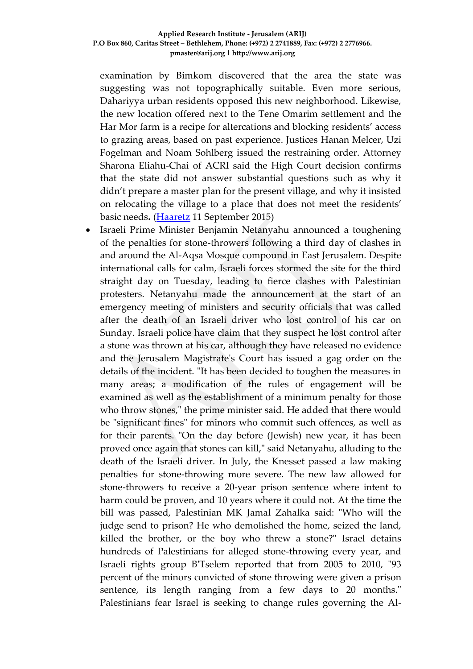examination by Bimkom discovered that the area the state was suggesting was not topographically suitable. Even more serious, Dahariyya urban residents opposed this new neighborhood. Likewise, the new location offered next to the Tene Omarim settlement and the Har Mor farm is a recipe for altercations and blocking residents' access to grazing areas, based on past experience. Justices Hanan Melcer, Uzi Fogelman and Noam Sohlberg issued the restraining order. Attorney Sharona Eliahu-Chai of ACRI said the High Court decision confirms that the state did not answer substantial questions such as why it didn't prepare a master plan for the present village, and why it insisted on relocating the village to a place that does not meet the residents' basic needs**.** [\(Haaretz](http://www.haaretz.com/news/israel/.premium-1.675569) 11 September 2015)

 Israeli Prime Minister Benjamin Netanyahu announced a toughening of the penalties for stone-throwers following a third day of clashes in and around the Al-Aqsa Mosque compound in East Jerusalem. Despite international calls for calm, Israeli forces stormed the site for the third straight day on Tuesday, leading to fierce clashes with Palestinian protesters. Netanyahu made the announcement at the start of an emergency meeting of ministers and security officials that was called after the death of an Israeli driver who lost control of his car on Sunday. Israeli police have claim that they suspect he lost control after a stone was thrown at his car, although they have released no evidence and the Jerusalem Magistrate's Court has issued a gag order on the details of the incident. "It has been decided to toughen the measures in many areas; a modification of the rules of engagement will be examined as well as the establishment of a minimum penalty for those who throw stones," the prime minister said. He added that there would be "significant fines" for minors who commit such offences, as well as for their parents. "On the day before (Jewish) new year, it has been proved once again that stones can kill," said Netanyahu, alluding to the death of the Israeli driver. In July, the Knesset passed a law making penalties for stone-throwing more severe. The new law allowed for stone-throwers to receive a 20-year prison sentence where intent to harm could be proven, and 10 years where it could not. At the time the bill was passed, Palestinian MK Jamal Zahalka said: "Who will the judge send to prison? He who demolished the home, seized the land, killed the brother, or the boy who threw a stone?" Israel detains hundreds of Palestinians for alleged stone-throwing every year, and Israeli rights group B'Tselem reported that from 2005 to 2010, "93 percent of the minors convicted of stone throwing were given a prison sentence, its length ranging from a few days to 20 months." Palestinians fear Israel is seeking to change rules governing the Al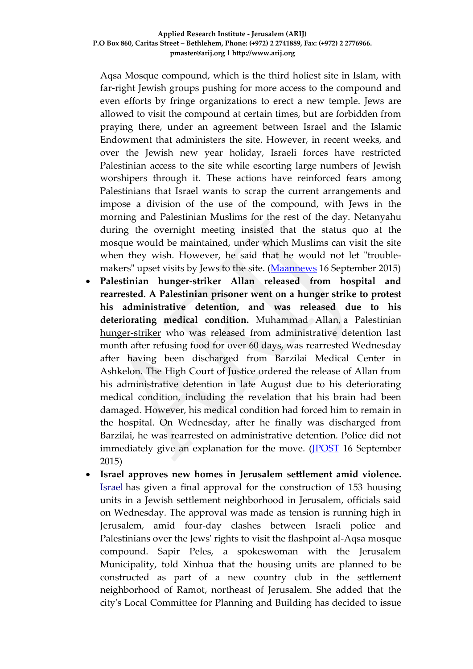Aqsa Mosque compound, which is the third holiest site in Islam, with far-right Jewish groups pushing for more access to the compound and even efforts by fringe organizations to erect a new temple. Jews are allowed to visit the compound at certain times, but are forbidden from praying there, under an agreement between Israel and the Islamic Endowment that administers the site. However, in recent weeks, and over the Jewish new year holiday, Israeli forces have restricted Palestinian access to the site while escorting large numbers of Jewish worshipers through it. These actions have reinforced fears among Palestinians that Israel wants to scrap the current arrangements and impose a division of the use of the compound, with Jews in the morning and Palestinian Muslims for the rest of the day. Netanyahu during the overnight meeting insisted that the status quo at the mosque would be maintained, under which Muslims can visit the site when they wish. However, he said that he would not let "troublemakers" upset visits by Jews to the site. [\(Maannews](http://www.maannews.com/Content.aspx?id=767632) 16 September 2015)

- **Palestinian hunger-striker Allan released from hospital and rearrested. A Palestinian prisoner went on a hunger strike to protest his administrative detention, and was released due to his deteriorating medical condition.** Muhammad Allan, a [Palestinian](http://www.jpost.com/Arab-Israeli-Conflict/Israel-offers-to-release-Palestinian-prisoner-Allan-if-he-ends-hunger-strike-412557) [hunger-striker](http://www.jpost.com/Arab-Israeli-Conflict/Israel-offers-to-release-Palestinian-prisoner-Allan-if-he-ends-hunger-strike-412557) who was released from administrative detention last month after refusing food for over 60 days, was rearrested Wednesday after having been discharged from Barzilai Medical Center in Ashkelon. The High Court of Justice ordered the release of Allan from his administrative detention in late August due to his deteriorating medical condition, including the revelation that his brain had been damaged. However, his medical condition had forced him to remain in the hospital. On Wednesday, after he finally was discharged from Barzilai, he was rearrested on administrative detention. Police did not immediately give an explanation for the move. [\(JPOST](http://www.jpost.com/Arab-Israeli-Conflict/Palestinian-hunger-striker-Allan-released-from-hospital-and-rearrested-416281) 16 September 2015)
- **Israel approves new homes in Jerusalem settlement amid violence.**  [Israel](http://search.news.cn/language/search.jspa?id=en&t1=0&t=1&ss=&btn=0&ct=Yemen&n1=Israel&np=content) has given a final approval for the construction of 153 housing units in a Jewish settlement neighborhood in Jerusalem, officials said on Wednesday. The approval was made as tension is running high in Jerusalem, amid four-day clashes between Israeli police and Palestinians over the Jews' rights to visit the flashpoint al-Aqsa mosque compound. Sapir Peles, a spokeswoman with the Jerusalem Municipality, told Xinhua that the housing units are planned to be constructed as part of a new country club in the settlement neighborhood of Ramot, northeast of Jerusalem. She added that the city's Local Committee for Planning and Building has decided to issue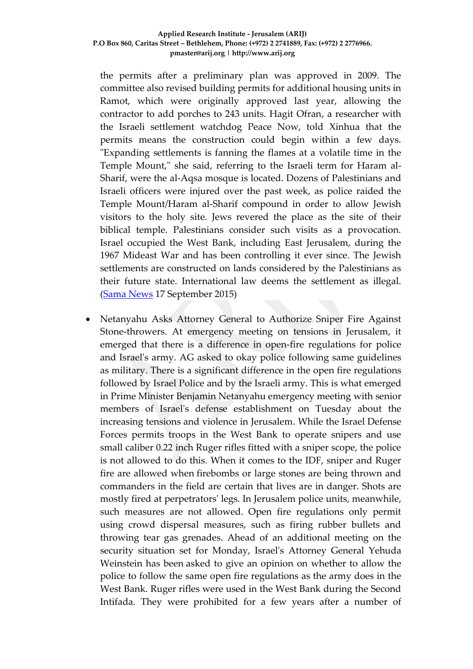the permits after a preliminary plan was approved in 2009. The committee also revised building permits for additional housing units in Ramot, which were originally approved last year, allowing the contractor to add porches to 243 units. Hagit Ofran, a researcher with the Israeli settlement watchdog Peace Now, told Xinhua that the permits means the construction could begin within a few days. "Expanding settlements is fanning the flames at a volatile time in the Temple Mount," she said, referring to the Israeli term for Haram al-Sharif, were the al-Aqsa mosque is located. Dozens of Palestinians and Israeli officers were injured over the past week, as police raided the Temple Mount/Haram al-Sharif compound in order to allow Jewish visitors to the holy site. Jews revered the place as the site of their biblical temple. Palestinians consider such visits as a provocation. Israel occupied the West Bank, including East Jerusalem, during the 1967 Mideast War and has been controlling it ever since. The Jewish settlements are constructed on lands considered by the Palestinians as their future state. International law deems the settlement as illegal. [\(Sama News](http://news.xinhuanet.com/english/2015-09/17/c_134631018.htm) 17 September 2015)

 Netanyahu Asks Attorney General to Authorize Sniper Fire Against Stone-throwers. At emergency meeting on tensions in Jerusalem, it emerged that there is a difference in open-fire regulations for police and Israel's army. AG asked to okay police following same guidelines as military. There is a significant difference in the open fire regulations followed by Israel Police and by the Israeli army. This is what emerged in Prime Minister Benjamin Netanyahu emergency meeting with senior members of Israel's defense establishment on Tuesday about the increasing tensions and violence in Jerusalem. While the Israel Defense Forces permits troops in the West Bank to operate snipers and use small caliber 0.22 inch Ruger rifles fitted with a sniper scope, the police is not allowed to do this. When it comes to the IDF, sniper and Ruger fire are allowed when firebombs or large stones are being thrown and commanders in the field are certain that lives are in danger. Shots are mostly fired at perpetrators' legs. In Jerusalem police units, meanwhile, such measures are not allowed. Open fire regulations only permit using crowd dispersal measures, such as firing rubber bullets and throwing tear gas grenades. Ahead of an additional meeting on the security situation set for Monday, Israel's Attorney General Yehuda Weinstein has been asked to give an opinion on whether to allow the police to follow the same open fire regulations as the army does in the West Bank. Ruger rifles were used in the West Bank during the Second Intifada. They were prohibited for a few years after a number of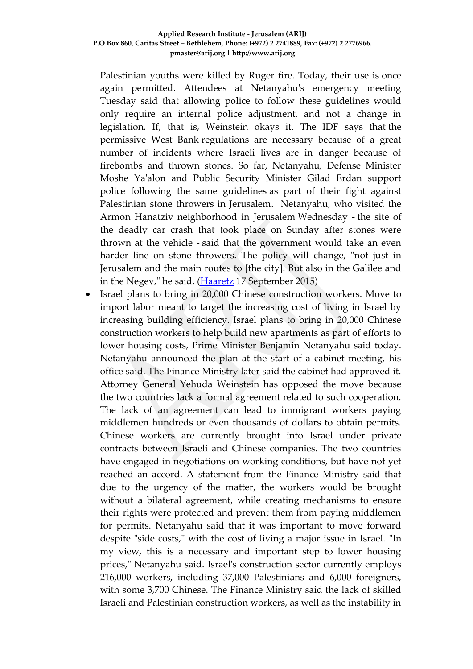Palestinian youths were killed by Ruger fire. Today, their use is once again permitted. Attendees at Netanyahu's emergency meeting Tuesday said that allowing police to follow these guidelines would only require an internal police adjustment, and not a change in legislation. If, that is, Weinstein okays it. The IDF says that the permissive West Bank regulations are necessary because of a great number of incidents where Israeli lives are in danger because of firebombs and thrown stones. So far, Netanyahu, Defense Minister Moshe Ya'alon and Public Security Minister Gilad Erdan support police following the same guidelines as part of their fight against Palestinian stone throwers in Jerusalem. Netanyahu, who visited the Armon Hanatziv neighborhood in Jerusalem Wednesday - the site of the deadly car crash that took place on Sunday after stones were thrown at the vehicle - said that the government would take an even harder line on stone throwers. The policy will change, "not just in Jerusalem and the main routes to [the city]. But also in the Galilee and in the Negev," he said. [\(Haaretz](http://www.haaretz.com/news/diplomacy-defense/.premium-1.676190) 17 September 2015)

 Israel plans to bring in 20,000 Chinese construction workers. Move to import labor meant to target the increasing cost of living in Israel by increasing building efficiency. Israel plans to bring in 20,000 Chinese construction workers to help build new apartments as part of efforts to lower housing costs, Prime Minister Benjamin Netanyahu said today. Netanyahu announced the plan at the start of a cabinet meeting, his office said. The Finance Ministry later said the cabinet had approved it. Attorney General Yehuda Weinstein has opposed the move because the two countries lack a formal agreement related to such cooperation. The lack of an agreement can lead to immigrant workers paying middlemen hundreds or even thousands of dollars to obtain permits. Chinese workers are currently brought into Israel under private contracts between Israeli and Chinese companies. The two countries have engaged in negotiations on working conditions, but have not yet reached an accord. A statement from the Finance Ministry said that due to the urgency of the matter, the workers would be brought without a bilateral agreement, while creating mechanisms to ensure their rights were protected and prevent them from paying middlemen for permits. Netanyahu said that it was important to move forward despite "side costs," with the cost of living a major issue in Israel. "In my view, this is a necessary and important step to lower housing prices," Netanyahu said. Israel's construction sector currently employs 216,000 workers, including 37,000 Palestinians and 6,000 foreigners, with some 3,700 Chinese. The Finance Ministry said the lack of skilled Israeli and Palestinian construction workers, as well as the instability in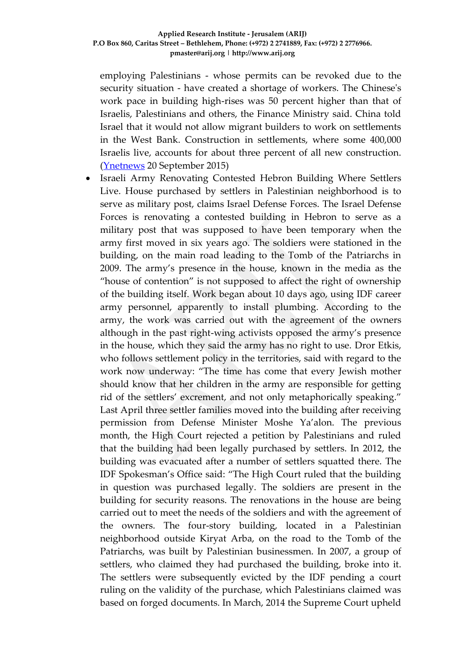employing Palestinians - whose permits can be revoked due to the security situation - have created a shortage of workers. The Chinese's work pace in building high-rises was 50 percent higher than that of Israelis, Palestinians and others, the Finance Ministry said. China told Israel that it would not allow migrant builders to work on settlements in the West Bank. Construction in settlements, where some 400,000 Israelis live, accounts for about three percent of all new construction. [\(Ynetnews](http://www.ynetnews.com/articles/0,7340,L-4702580,00.html) 20 September 2015)

 Israeli Army Renovating Contested Hebron Building Where Settlers Live. House purchased by settlers in Palestinian neighborhood is to serve as military post, claims Israel Defense Forces. The Israel Defense Forces is renovating a contested building in Hebron to serve as a military post that was supposed to have been temporary when the army first moved in six years ago. The soldiers were stationed in the building, on the main road leading to the Tomb of the Patriarchs in 2009. The army's presence in the house, known in the media as the "house of contention" is not supposed to affect the right of ownership of the building itself. Work began about 10 days ago, using IDF career army personnel, apparently to install plumbing. According to the army, the work was carried out with the agreement of the owners although in the past right-wing activists opposed the army's presence in the house, which they said the army has no right to use. Dror Etkis, who follows settlement policy in the territories, said with regard to the work now underway: "The time has come that every Jewish mother should know that her children in the army are responsible for getting rid of the settlers' excrement, and not only metaphorically speaking." Last April three settler families moved into the building after receiving permission from Defense Minister Moshe Ya'alon. The previous month, the High Court rejected a petition by Palestinians and ruled that the building had been legally purchased by settlers. In 2012, the building was evacuated after a number of settlers squatted there. The IDF Spokesman's Office said: "The High Court ruled that the building in question was purchased legally. The soldiers are present in the building for security reasons. The renovations in the house are being carried out to meet the needs of the soldiers and with the agreement of the owners. The four-story building, located in a Palestinian neighborhood outside Kiryat Arba, on the road to the Tomb of the Patriarchs, was built by Palestinian businessmen. In 2007, a group of settlers, who claimed they had purchased the building, broke into it. The settlers were subsequently evicted by the IDF pending a court ruling on the validity of the purchase, which Palestinians claimed was based on forged documents. In March, 2014 the Supreme Court upheld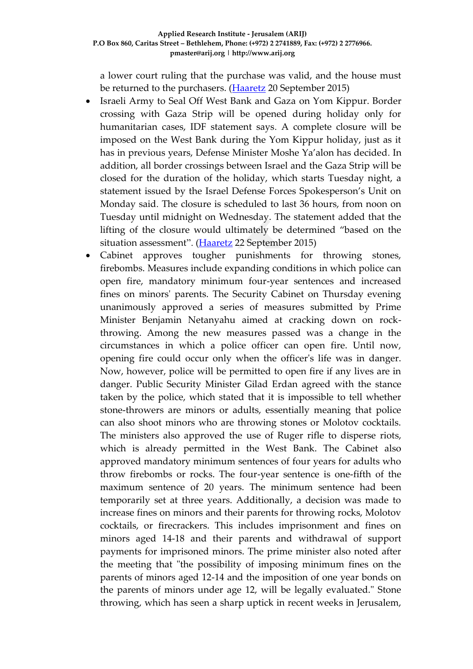a lower court ruling that the purchase was valid, and the house must be returned to the purchasers. [\(Haaretz](http://www.haaretz.com/news/diplomacy-defense/.premium-1.676722?date=1442820296504) 20 September 2015)

- Israeli Army to Seal Off West Bank and Gaza on Yom Kippur. Border crossing with Gaza Strip will be opened during holiday only for humanitarian cases, IDF statement says. A complete closure will be imposed on the West Bank during the Yom Kippur holiday, just as it has in previous years, Defense Minister Moshe Ya'alon has decided. In addition, all border crossings between Israel and the Gaza Strip will be closed for the duration of the holiday, which starts Tuesday night, a statement issued by the Israel Defense Forces Spokesperson's Unit on Monday said. The closure is scheduled to last 36 hours, from noon on Tuesday until midnight on Wednesday. The statement added that the lifting of the closure would ultimately be determined "based on the situation assessment". [\(Haaretz](http://www.haaretz.com/news/diplomacy-defense/.premium-1.677083) 22 September 2015)
- Cabinet approves tougher punishments for throwing stones, firebombs. Measures include expanding conditions in which police can open fire, mandatory minimum four-year sentences and increased fines on minors' parents. The Security Cabinet on Thursday evening unanimously approved a series of measures submitted by Prime Minister Benjamin Netanyahu aimed at cracking down on rockthrowing. Among the new measures passed was a change in the circumstances in which a police officer can open fire. Until now, opening fire could occur only when the officer's life was in danger. Now, however, police will be permitted to open fire if any lives are in danger. Public Security Minister Gilad Erdan agreed with the stance taken by the police, which stated that it is impossible to tell whether stone-throwers are minors or adults, essentially meaning that police can also shoot minors who are throwing stones or Molotov cocktails. The ministers also approved the use of Ruger rifle to disperse riots, which is already permitted in the West Bank. The Cabinet also approved mandatory minimum sentences of four years for adults who throw firebombs or rocks. The four-year sentence is one-fifth of the maximum sentence of 20 years. The minimum sentence had been temporarily set at three years. Additionally, a decision was made to increase fines on minors and their parents for throwing rocks, Molotov cocktails, or firecrackers. This includes imprisonment and fines on minors aged 14-18 and their parents and withdrawal of support payments for imprisoned minors. The prime minister also noted after the meeting that "the possibility of imposing minimum fines on the parents of minors aged 12-14 and the imposition of one year bonds on the parents of minors under age 12, will be legally evaluated." Stone throwing, which has seen a sharp uptick in recent weeks in Jerusalem,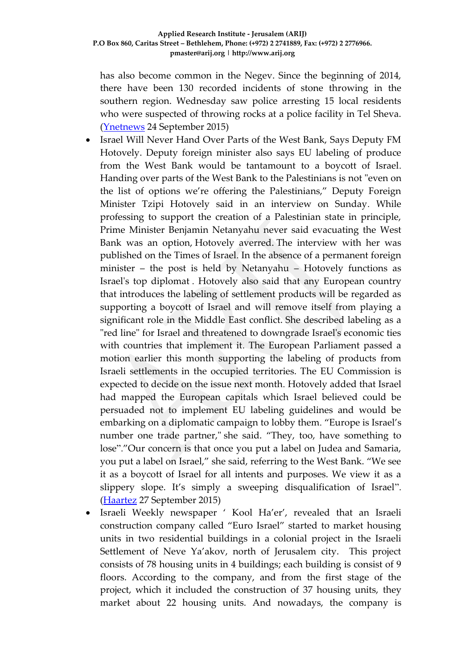has also become common in the Negev. Since the beginning of 2014, there have been 130 recorded incidents of stone throwing in the southern region. Wednesday saw police arresting 15 local residents who were suspected of throwing rocks at a police facility in Tel Sheva. [\(Ynetnews](http://www.ynetnews.com/articles/0,7340,L-4703951,00.html) 24 September 2015)

- Israel Will Never Hand Over Parts of the West Bank, Says Deputy FM Hotovely. Deputy foreign minister also says EU labeling of produce from the West Bank would be tantamount to a boycott of Israel. Handing over parts of the West Bank to the Palestinians is not "even on the list of options we're offering the Palestinians," Deputy Foreign Minister Tzipi Hotovely said in an interview on Sunday. While professing to support the creation of a Palestinian state in principle, Prime Minister Benjamin Netanyahu never said evacuating the West Bank was an option, Hotovely averred. The interview with her was published on the Times of Israel. In the absence of a permanent foreign minister – the post is held by Netanyahu – Hotovely functions as Israel's top diplomat . Hotovely also said that any European country that introduces the labeling of settlement products will be regarded as supporting a boycott of Israel and will remove itself from playing a significant role in the Middle East conflict. She described labeling as a "red line" for Israel and threatened to downgrade Israel's economic ties with countries that implement it. The European Parliament passed a motion earlier this month supporting the labeling of products from Israeli settlements in the occupied territories. The EU Commission is expected to decide on the issue next month. Hotovely added that Israel had mapped the European capitals which Israel believed could be persuaded not to implement EU labeling guidelines and would be embarking on a diplomatic campaign to lobby them. "Europe is Israel's number one trade partner," she said. "They, too, have something to lose"."Our concern is that once you put a label on Judea and Samaria, you put a label on Israel," she said, referring to the West Bank. "We see it as a boycott of Israel for all intents and purposes. We view it as a slippery slope. It's simply a sweeping disqualification of Israel". [\(Haartez](http://www.haaretz.com/news/diplomacy-defense/1.677760) 27 September 2015)
- Israeli Weekly newspaper ' Kool Ha'er', revealed that an Israeli construction company called "Euro Israel" started to market housing units in two residential buildings in a colonial project in the Israeli Settlement of Neve Ya'akov, north of Jerusalem city. This project consists of 78 housing units in 4 buildings; each building is consist of 9 floors. According to the company, and from the first stage of the project, which it included the construction of 37 housing units, they market about 22 housing units. And nowadays, the company is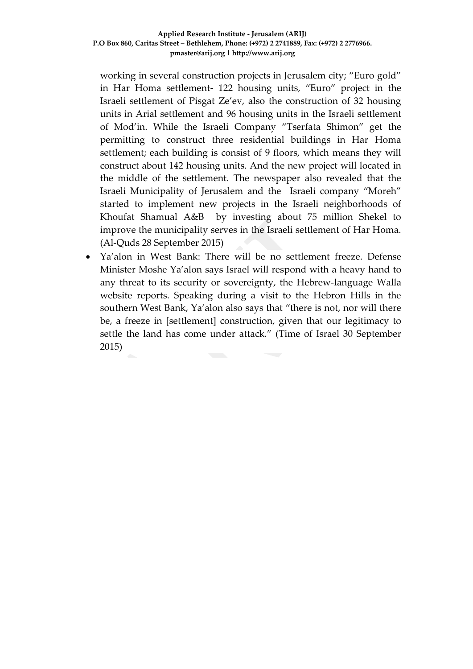working in several construction projects in Jerusalem city; "Euro gold" in Har Homa settlement- 122 housing units, "Euro" project in the Israeli settlement of Pisgat Ze'ev, also the construction of 32 housing units in Arial settlement and 96 housing units in the Israeli settlement of Mod'in. While the Israeli Company "Tserfata Shimon" get the permitting to construct three residential buildings in Har Homa settlement; each building is consist of 9 floors, which means they will construct about 142 housing units. And the new project will located in the middle of the settlement. The newspaper also revealed that the Israeli Municipality of Jerusalem and the Israeli company "Moreh" started to implement new projects in the Israeli neighborhoods of Khoufat Shamual A&B by investing about 75 million Shekel to improve the municipality serves in the Israeli settlement of Har Homa. (Al-Quds 28 September 2015)

 Ya'alon in West Bank: There will be no settlement freeze. Defense Minister Moshe Ya'alon says Israel will respond with a heavy hand to any threat to its security or sovereignty, the Hebrew-language Walla website reports. Speaking during a visit to the Hebron Hills in the southern West Bank, Ya'alon also says that "there is not, nor will there be, a freeze in [settlement] construction, given that our legitimacy to settle the land has come under attack." (Time of Israel 30 September 2015)